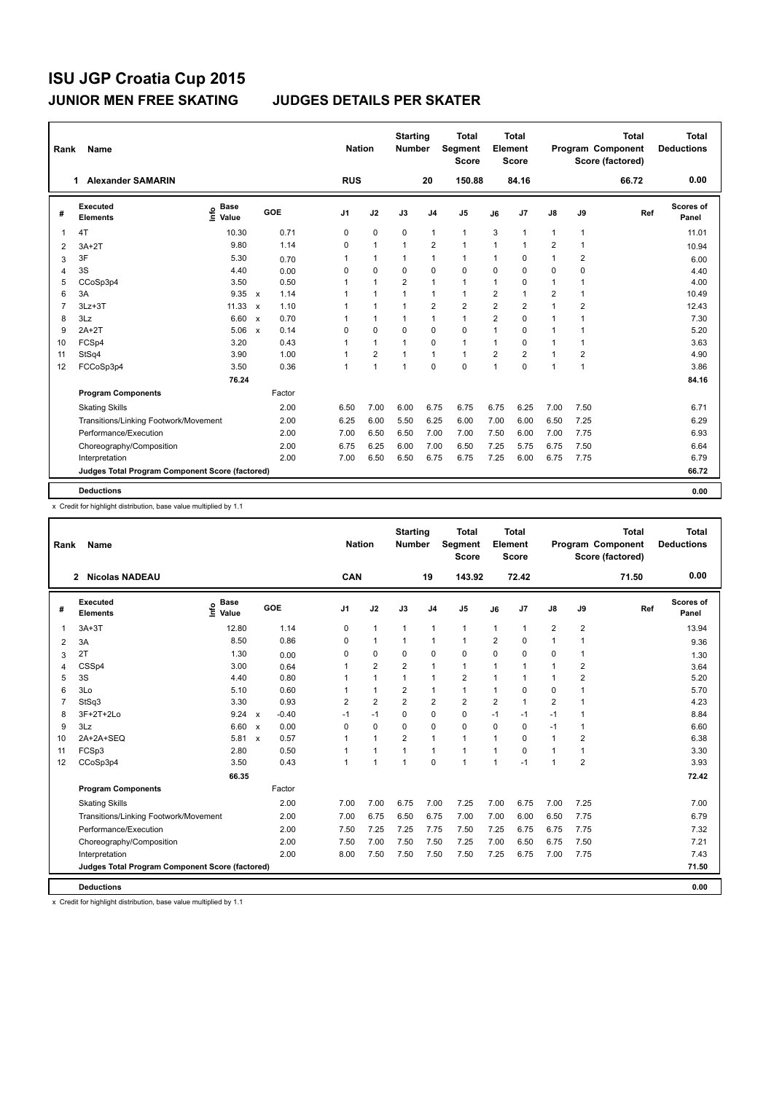| Rank           | <b>Name</b>                                     |                                  |                                   |                | <b>Nation</b>  | <b>Starting</b><br><b>Number</b> |                | Total<br>Segment<br><b>Score</b> |                | <b>Total</b><br>Element<br><b>Score</b> |                         |                | <b>Total</b><br><b>Program Component</b><br>Score (factored) | <b>Total</b><br><b>Deductions</b> |
|----------------|-------------------------------------------------|----------------------------------|-----------------------------------|----------------|----------------|----------------------------------|----------------|----------------------------------|----------------|-----------------------------------------|-------------------------|----------------|--------------------------------------------------------------|-----------------------------------|
|                | <b>Alexander SAMARIN</b><br>1                   |                                  |                                   | <b>RUS</b>     |                |                                  | 20             | 150.88                           |                | 84.16                                   |                         |                | 66.72                                                        | 0.00                              |
| #              | Executed<br><b>Elements</b>                     | <b>Base</b><br>e Base<br>⊆ Value | GOE                               | J <sub>1</sub> | J2             | J3                               | J <sub>4</sub> | J <sub>5</sub>                   | J6             | J <sub>7</sub>                          | J8                      | J9             | Ref                                                          | Scores of<br>Panel                |
| $\mathbf{1}$   | 4T                                              | 10.30                            | 0.71                              | 0              | $\mathbf 0$    | $\mathbf 0$                      | $\mathbf{1}$   | $\mathbf{1}$                     | 3              | $\overline{1}$                          | $\overline{1}$          | $\mathbf{1}$   |                                                              | 11.01                             |
| 2              | $3A+2T$                                         | 9.80                             | 1.14                              | $\Omega$       | $\mathbf{1}$   | $\mathbf{1}$                     | $\overline{2}$ | $\mathbf{1}$                     | $\overline{1}$ | $\overline{1}$                          | $\overline{2}$          | $\mathbf{1}$   |                                                              | 10.94                             |
| 3              | 3F                                              | 5.30                             | 0.70                              | 1              | $\mathbf{1}$   | 1                                | 1              | $\mathbf{1}$                     | $\mathbf{1}$   | $\mathbf 0$                             | $\overline{1}$          | $\overline{2}$ |                                                              | 6.00                              |
| 4              | 3S                                              | 4.40                             | 0.00                              | $\Omega$       | 0              | 0                                | $\Omega$       | $\Omega$                         | $\Omega$       | $\Omega$                                | 0                       | $\mathbf 0$    |                                                              | 4.40                              |
| 5              | CCoSp3p4                                        | 3.50                             | 0.50                              | 1              | $\mathbf{1}$   | $\overline{2}$                   | 1              | $\mathbf{1}$                     | $\mathbf{1}$   | $\mathbf 0$                             | 1                       | $\overline{1}$ |                                                              | 4.00                              |
| 6              | 3A                                              | 9.35                             | 1.14<br>$\mathsf{x}$              | 1              | $\mathbf{1}$   | $\mathbf{1}$                     | 1              | 1                                | $\overline{2}$ | $\overline{1}$                          | $\overline{\mathbf{c}}$ | $\mathbf{1}$   |                                                              | 10.49                             |
| $\overline{7}$ | $3Lz + 3T$                                      | 11.33                            | 1.10<br>$\boldsymbol{\mathsf{x}}$ | 1              | $\mathbf{1}$   | $\mathbf{1}$                     | $\overline{2}$ | $\overline{2}$                   | $\overline{2}$ | $\overline{2}$                          | $\overline{1}$          | $\overline{2}$ |                                                              | 12.43                             |
| 8              | 3Lz                                             | 6.60                             | 0.70<br>$\boldsymbol{\mathsf{x}}$ |                | $\mathbf{1}$   | $\mathbf{1}$                     | 1              | $\mathbf{1}$                     | $\overline{2}$ | $\Omega$                                | 1                       | $\overline{1}$ |                                                              | 7.30                              |
| 9              | $2A+2T$                                         | 5.06                             | 0.14<br>$\mathbf{x}$              | $\Omega$       | $\Omega$       | 0                                | $\Omega$       | $\Omega$                         | 1              | $\Omega$                                | 1                       | $\overline{1}$ |                                                              | 5.20                              |
| 10             | FCSp4                                           | 3.20                             | 0.43                              | 1              | $\mathbf{1}$   | $\overline{1}$                   | $\Omega$       | $\mathbf{1}$                     | $\overline{1}$ | $\Omega$                                | 1                       | $\overline{1}$ |                                                              | 3.63                              |
| 11             | StSq4                                           | 3.90                             | 1.00                              | 1              | $\overline{2}$ | $\mathbf{1}$                     | 1              | $\mathbf{1}$                     | $\overline{2}$ | $\overline{2}$                          | $\overline{1}$          | $\overline{2}$ |                                                              | 4.90                              |
| 12             | FCCoSp3p4                                       | 3.50                             | 0.36                              | 1              | 1              | $\overline{1}$                   | $\Omega$       | $\Omega$                         | 1              | $\Omega$                                | 1                       | $\overline{1}$ |                                                              | 3.86                              |
|                |                                                 | 76.24                            |                                   |                |                |                                  |                |                                  |                |                                         |                         |                |                                                              | 84.16                             |
|                | <b>Program Components</b>                       |                                  | Factor                            |                |                |                                  |                |                                  |                |                                         |                         |                |                                                              |                                   |
|                | <b>Skating Skills</b>                           |                                  | 2.00                              | 6.50           | 7.00           | 6.00                             | 6.75           | 6.75                             | 6.75           | 6.25                                    | 7.00                    | 7.50           |                                                              | 6.71                              |
|                | Transitions/Linking Footwork/Movement           |                                  | 2.00                              | 6.25           | 6.00           | 5.50                             | 6.25           | 6.00                             | 7.00           | 6.00                                    | 6.50                    | 7.25           |                                                              | 6.29                              |
|                | Performance/Execution                           |                                  | 2.00                              | 7.00           | 6.50           | 6.50                             | 7.00           | 7.00                             | 7.50           | 6.00                                    | 7.00                    | 7.75           |                                                              | 6.93                              |
|                | Choreography/Composition                        |                                  | 2.00                              | 6.75           | 6.25           | 6.00                             | 7.00           | 6.50                             | 7.25           | 5.75                                    | 6.75                    | 7.50           |                                                              | 6.64                              |
|                | Interpretation                                  |                                  | 2.00                              | 7.00           | 6.50           | 6.50                             | 6.75           | 6.75                             | 7.25           | 6.00                                    | 6.75                    | 7.75           |                                                              | 6.79                              |
|                | Judges Total Program Component Score (factored) |                                  |                                   |                |                |                                  |                |                                  |                |                                         |                         |                |                                                              | 66.72                             |
|                | <b>Deductions</b>                               |                                  |                                   |                |                |                                  |                |                                  |                |                                         |                         |                |                                                              | 0.00                              |

x Credit for highlight distribution, base value multiplied by 1.1

| Rank | Name                                            |                              |                      |                | <b>Nation</b>  | <b>Starting</b><br><b>Number</b> |                | <b>Total</b><br>Segment<br><b>Score</b> |                | <b>Total</b><br>Element<br><b>Score</b> |                |                         | <b>Total</b><br>Program Component<br>Score (factored) | <b>Total</b><br><b>Deductions</b> |
|------|-------------------------------------------------|------------------------------|----------------------|----------------|----------------|----------------------------------|----------------|-----------------------------------------|----------------|-----------------------------------------|----------------|-------------------------|-------------------------------------------------------|-----------------------------------|
|      | 2 Nicolas NADEAU                                |                              |                      | CAN            |                |                                  | 19             | 143.92                                  |                | 72.42                                   |                |                         | 71.50                                                 | 0.00                              |
| #    | Executed<br><b>Elements</b>                     | <b>Base</b><br>lnfo<br>Value | GOE                  | J <sub>1</sub> | J2             | J3                               | J <sub>4</sub> | J5                                      | J6             | J7                                      | J8             | J9                      | Ref                                                   | <b>Scores of</b><br>Panel         |
| 1    | $3A+3T$                                         | 12.80                        | 1.14                 | 0              | $\mathbf{1}$   | $\mathbf{1}$                     | $\mathbf{1}$   | $\mathbf{1}$                            | 1              | 1                                       | 2              | 2                       |                                                       | 13.94                             |
| 2    | 3A                                              | 8.50                         | 0.86                 | 0              | $\mathbf{1}$   | $\mathbf{1}$                     | $\mathbf{1}$   | $\mathbf{1}$                            | $\overline{2}$ | 0                                       | $\mathbf{1}$   | 1                       |                                                       | 9.36                              |
| 3    | 2T                                              | 1.30                         | 0.00                 | $\Omega$       | 0              | 0                                | 0              | 0                                       | 0              | 0                                       | 0              | 1                       |                                                       | 1.30                              |
| 4    | CSSp4                                           | 3.00                         | 0.64                 | 1              | $\overline{2}$ | $\overline{2}$                   | $\mathbf{1}$   | $\mathbf{1}$                            | 1              | $\overline{1}$                          | 1              | 2                       |                                                       | 3.64                              |
| 5    | 3S                                              | 4.40                         | 0.80                 | 1              | $\mathbf{1}$   | $\mathbf{1}$                     | $\mathbf{1}$   | $\overline{2}$                          | 1              | 1                                       | $\mathbf{1}$   | $\overline{2}$          |                                                       | 5.20                              |
| 6    | 3Lo                                             | 5.10                         | 0.60                 |                | $\mathbf{1}$   | $\overline{2}$                   | $\mathbf{1}$   | $\mathbf{1}$                            | 1              | 0                                       | 0              | 1                       |                                                       | 5.70                              |
| 7    | StSq3                                           | 3.30                         | 0.93                 | 2              | $\overline{2}$ | $\overline{2}$                   | $\overline{2}$ | $\overline{2}$                          | $\overline{2}$ | 1                                       | $\overline{2}$ | $\mathbf 1$             |                                                       | 4.23                              |
| 8    | 3F+2T+2Lo                                       | 9.24 x                       | $-0.40$              | $-1$           | $-1$           | 0                                | $\mathbf 0$    | 0                                       | $-1$           | $-1$                                    | $-1$           | 1                       |                                                       | 8.84                              |
| 9    | 3Lz                                             | 6.60 x                       | 0.00                 | $\Omega$       | $\Omega$       | 0                                | $\Omega$       | $\Omega$                                | $\Omega$       | $\Omega$                                | $-1$           | 1                       |                                                       | 6.60                              |
| 10   | 2A+2A+SEQ                                       | 5.81                         | 0.57<br>$\mathsf{x}$ | 1              | $\mathbf{1}$   | $\overline{2}$                   | $\mathbf{1}$   | 1                                       | 1              | 0                                       | 1              | $\overline{\mathbf{c}}$ |                                                       | 6.38                              |
| 11   | FCSp3                                           | 2.80                         | 0.50                 | 1              | $\mathbf{1}$   | $\mathbf{1}$                     | $\mathbf{1}$   | $\mathbf{1}$                            | 1              | 0                                       | $\mathbf{1}$   | 1                       |                                                       | 3.30                              |
| 12   | CCoSp3p4                                        | 3.50                         | 0.43                 | 1              | 1              | $\mathbf{1}$                     | $\mathbf 0$    | $\mathbf{1}$                            | 1              | $-1$                                    | 1              | $\overline{2}$          |                                                       | 3.93                              |
|      |                                                 | 66.35                        |                      |                |                |                                  |                |                                         |                |                                         |                |                         |                                                       | 72.42                             |
|      | <b>Program Components</b>                       |                              | Factor               |                |                |                                  |                |                                         |                |                                         |                |                         |                                                       |                                   |
|      | <b>Skating Skills</b>                           |                              | 2.00                 | 7.00           | 7.00           | 6.75                             | 7.00           | 7.25                                    | 7.00           | 6.75                                    | 7.00           | 7.25                    |                                                       | 7.00                              |
|      | Transitions/Linking Footwork/Movement           |                              | 2.00                 | 7.00           | 6.75           | 6.50                             | 6.75           | 7.00                                    | 7.00           | 6.00                                    | 6.50           | 7.75                    |                                                       | 6.79                              |
|      | Performance/Execution                           |                              | 2.00                 | 7.50           | 7.25           | 7.25                             | 7.75           | 7.50                                    | 7.25           | 6.75                                    | 6.75           | 7.75                    |                                                       | 7.32                              |
|      | Choreography/Composition                        |                              | 2.00                 | 7.50           | 7.00           | 7.50                             | 7.50           | 7.25                                    | 7.00           | 6.50                                    | 6.75           | 7.50                    |                                                       | 7.21                              |
|      | Interpretation                                  |                              | 2.00                 | 8.00           | 7.50           | 7.50                             | 7.50           | 7.50                                    | 7.25           | 6.75                                    | 7.00           | 7.75                    |                                                       | 7.43                              |
|      | Judges Total Program Component Score (factored) |                              |                      |                |                |                                  |                |                                         |                |                                         |                |                         |                                                       | 71.50                             |
|      | <b>Deductions</b>                               |                              |                      |                |                |                                  |                |                                         |                |                                         |                |                         |                                                       | 0.00                              |

x Credit for highlight distribution, base value multiplied by 1.1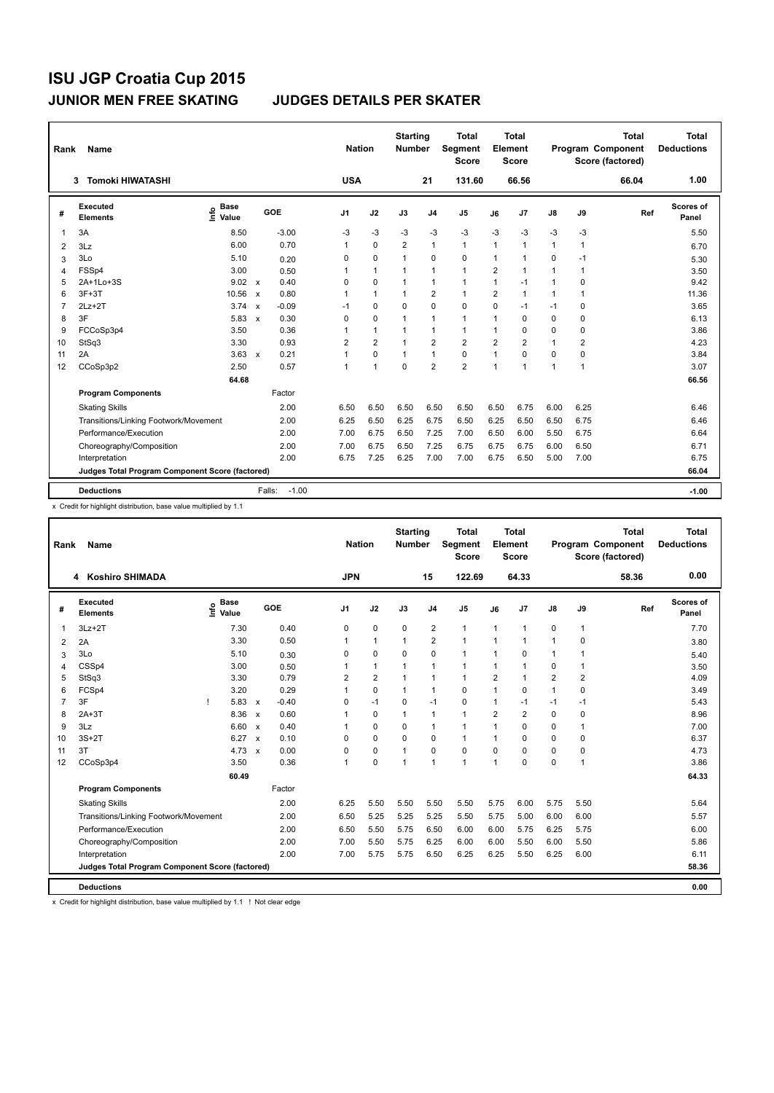| Rank           | <b>Name</b>                                     |                                  |                                      | <b>Nation</b>  |                | <b>Starting</b><br><b>Number</b> |                | <b>Total</b><br>Segment<br><b>Score</b> |                | <b>Total</b><br>Element<br><b>Score</b> |                      |                | <b>Total</b><br><b>Program Component</b><br>Score (factored) | <b>Total</b><br><b>Deductions</b> |
|----------------|-------------------------------------------------|----------------------------------|--------------------------------------|----------------|----------------|----------------------------------|----------------|-----------------------------------------|----------------|-----------------------------------------|----------------------|----------------|--------------------------------------------------------------|-----------------------------------|
|                | <b>Tomoki HIWATASHI</b><br>3                    |                                  |                                      | <b>USA</b>     |                |                                  | 21             | 131.60                                  |                | 66.56                                   |                      |                | 66.04                                                        | 1.00                              |
| #              | Executed<br><b>Elements</b>                     | <b>Base</b><br>e Base<br>⊆ Value | GOE                                  | J <sub>1</sub> | J2             | J3                               | J <sub>4</sub> | J5                                      | J6             | J <sub>7</sub>                          | J8                   | J9             | Ref                                                          | Scores of<br>Panel                |
| $\mathbf 1$    | 3A                                              | 8.50                             | $-3.00$                              | -3             | -3             | $-3$                             | $-3$           | $-3$                                    | $-3$           | $-3$                                    | $-3$                 | $-3$           |                                                              | 5.50                              |
| 2              | 3Lz                                             | 6.00                             | 0.70                                 | 1              | $\Omega$       | 2                                | 1              | $\mathbf{1}$                            | $\mathbf{1}$   | $\overline{1}$                          | $\blacktriangleleft$ | $\overline{1}$ |                                                              | 6.70                              |
| 3              | 3Lo                                             | 5.10                             | 0.20                                 | 0              | 0              | $\mathbf{1}$                     | $\mathbf 0$    | 0                                       | $\mathbf{1}$   | $\overline{1}$                          | 0                    | $-1$           |                                                              | 5.30                              |
| $\overline{4}$ | FSSp4                                           | 3.00                             | 0.50                                 | 1              | $\mathbf{1}$   | $\mathbf{1}$                     | 1              | 1                                       | $\overline{2}$ | $\overline{1}$                          | 1                    | $\overline{1}$ |                                                              | 3.50                              |
| 5              | 2A+1Lo+3S                                       | 9.02                             | 0.40<br>$\mathbf{x}$                 | $\Omega$       | 0              | $\mathbf{1}$                     | 1              | 1                                       | $\overline{1}$ | $-1$                                    | $\overline{1}$       | $\mathbf 0$    |                                                              | 9.42                              |
| 6              | $3F+3T$                                         | 10.56                            | 0.80<br>$\mathsf{x}$                 | 1              | $\mathbf{1}$   | $\mathbf{1}$                     | $\overline{2}$ | $\mathbf{1}$                            | $\overline{2}$ | $\overline{1}$                          | $\blacktriangleleft$ | $\mathbf{1}$   |                                                              | 11.36                             |
| $\overline{7}$ | $2Lz+2T$                                        | 3.74                             | $-0.09$<br>$\boldsymbol{\mathsf{x}}$ | $-1$           | 0              | 0                                | $\mathbf 0$    | $\Omega$                                | $\Omega$       | $-1$                                    | $-1$                 | 0              |                                                              | 3.65                              |
| 8              | 3F                                              | 5.83                             | 0.30<br>$\boldsymbol{\mathsf{x}}$    | 0              | 0              | 1                                | 1              | 1                                       | 1              | 0                                       | 0                    | 0              |                                                              | 6.13                              |
| 9              | FCCoSp3p4                                       | 3.50                             | 0.36                                 | 1              | $\mathbf{1}$   | $\mathbf{1}$                     | 1              | 1                                       | 1              | $\mathbf 0$                             | 0                    | $\mathbf 0$    |                                                              | 3.86                              |
| 10             | StSq3                                           | 3.30                             | 0.93                                 | $\overline{2}$ | $\overline{2}$ | $\mathbf{1}$                     | $\overline{2}$ | $\overline{2}$                          | $\overline{2}$ | $\overline{2}$                          | $\overline{1}$       | $\overline{2}$ |                                                              | 4.23                              |
| 11             | 2A                                              | 3.63                             | 0.21<br>$\mathbf{x}$                 | 1              | 0              | $\mathbf{1}$                     | 1              | 0                                       | $\overline{1}$ | $\Omega$                                | $\mathbf 0$          | $\Omega$       |                                                              | 3.84                              |
| 12             | CCoSp3p2                                        | 2.50                             | 0.57                                 | $\mathbf{1}$   | $\mathbf{1}$   | 0                                | $\overline{2}$ | $\overline{2}$                          | $\overline{1}$ | $\overline{1}$                          | $\overline{1}$       | $\overline{1}$ |                                                              | 3.07                              |
|                |                                                 | 64.68                            |                                      |                |                |                                  |                |                                         |                |                                         |                      |                |                                                              | 66.56                             |
|                | <b>Program Components</b>                       |                                  | Factor                               |                |                |                                  |                |                                         |                |                                         |                      |                |                                                              |                                   |
|                | <b>Skating Skills</b>                           |                                  | 2.00                                 | 6.50           | 6.50           | 6.50                             | 6.50           | 6.50                                    | 6.50           | 6.75                                    | 6.00                 | 6.25           |                                                              | 6.46                              |
|                | Transitions/Linking Footwork/Movement           |                                  | 2.00                                 | 6.25           | 6.50           | 6.25                             | 6.75           | 6.50                                    | 6.25           | 6.50                                    | 6.50                 | 6.75           |                                                              | 6.46                              |
|                | Performance/Execution                           |                                  | 2.00                                 | 7.00           | 6.75           | 6.50                             | 7.25           | 7.00                                    | 6.50           | 6.00                                    | 5.50                 | 6.75           |                                                              | 6.64                              |
|                | Choreography/Composition                        |                                  | 2.00                                 | 7.00           | 6.75           | 6.50                             | 7.25           | 6.75                                    | 6.75           | 6.75                                    | 6.00                 | 6.50           |                                                              | 6.71                              |
|                | Interpretation                                  |                                  | 2.00                                 | 6.75           | 7.25           | 6.25                             | 7.00           | 7.00                                    | 6.75           | 6.50                                    | 5.00                 | 7.00           |                                                              | 6.75                              |
|                | Judges Total Program Component Score (factored) |                                  |                                      |                |                |                                  |                |                                         |                |                                         |                      |                |                                                              | 66.04                             |
|                | <b>Deductions</b>                               |                                  | $-1.00$<br>Falls:                    |                |                |                                  |                |                                         |                |                                         |                      |                |                                                              | $-1.00$                           |

x Credit for highlight distribution, base value multiplied by 1.1

| Rank           | <b>Name</b>                                     |                                  |              |         | <b>Nation</b>  |                | <b>Starting</b><br><b>Number</b> |                | <b>Total</b><br>Segment<br><b>Score</b> |                | Total<br>Element<br><b>Score</b> |                |              | <b>Total</b><br>Program Component<br>Score (factored) | <b>Total</b><br><b>Deductions</b> |
|----------------|-------------------------------------------------|----------------------------------|--------------|---------|----------------|----------------|----------------------------------|----------------|-----------------------------------------|----------------|----------------------------------|----------------|--------------|-------------------------------------------------------|-----------------------------------|
|                | 4 Koshiro SHIMADA                               |                                  |              |         | <b>JPN</b>     |                |                                  | 15             | 122.69                                  |                | 64.33                            |                |              | 58.36                                                 | 0.00                              |
| #              | Executed<br><b>Elements</b>                     | <b>Base</b><br>e Base<br>E Value |              | GOE     | J <sub>1</sub> | J2             | J3                               | J <sub>4</sub> | J <sub>5</sub>                          | J6             | J7                               | $\mathsf{J}8$  | J9           | Ref                                                   | Scores of<br>Panel                |
| $\mathbf{1}$   | $3Lz + 2T$                                      | 7.30                             |              | 0.40    | 0              | $\mathbf 0$    | 0                                | $\overline{2}$ | $\mathbf{1}$                            | $\mathbf{1}$   | $\overline{1}$                   | 0              | 1            |                                                       | 7.70                              |
| 2              | 2A                                              | 3.30                             |              | 0.50    | $\mathbf{1}$   | $\overline{1}$ | $\mathbf{1}$                     | $\overline{2}$ | $\mathbf{1}$                            | $\mathbf{1}$   | $\overline{1}$                   | $\mathbf{1}$   | 0            |                                                       | 3.80                              |
| 3              | 3Lo                                             | 5.10                             |              | 0.30    | 0              | $\mathbf 0$    | $\Omega$                         | $\mathbf 0$    | $\mathbf{1}$                            | $\mathbf{1}$   | $\Omega$                         | $\mathbf{1}$   | 1            |                                                       | 5.40                              |
| $\overline{4}$ | CSSp4                                           | 3.00                             |              | 0.50    | 1              | $\mathbf{1}$   | $\overline{1}$                   | $\overline{1}$ | $\mathbf{1}$                            | 1              | $\overline{1}$                   | 0              | 1            |                                                       | 3.50                              |
| 5              | StSq3                                           | 3.30                             |              | 0.79    | 2              | $\overline{2}$ | $\overline{1}$                   | $\overline{1}$ | $\mathbf{1}$                            | $\overline{2}$ | $\overline{1}$                   | $\overline{2}$ | 2            |                                                       | 4.09                              |
| 6              | FCSp4                                           | 3.20                             |              | 0.29    | 1              | $\mathbf 0$    | 1                                | $\overline{1}$ | $\mathbf 0$                             | $\overline{1}$ | 0                                | $\mathbf{1}$   | 0            |                                                       | 3.49                              |
| $\overline{7}$ | 3F                                              | 5.83                             | $\mathsf{x}$ | $-0.40$ | 0              | $-1$           | 0                                | $-1$           | $\mathbf 0$                             | 1              | $-1$                             | $-1$           | $-1$         |                                                       | 5.43                              |
| 8              | $2A+3T$                                         | 8.36                             | $\mathsf{x}$ | 0.60    | 1              | $\mathbf 0$    | $\overline{1}$                   | $\overline{1}$ | $\mathbf{1}$                            | $\overline{2}$ | $\overline{2}$                   | $\mathbf 0$    | 0            |                                                       | 8.96                              |
| 9              | 3Lz                                             | 6.60                             | $\mathbf{x}$ | 0.40    | 1              | $\Omega$       | $\Omega$                         | $\mathbf{1}$   | $\mathbf{1}$                            | $\overline{1}$ | $\Omega$                         | $\Omega$       | $\mathbf{1}$ |                                                       | 7.00                              |
| 10             | $3S+2T$                                         | 6.27                             | $\mathbf{x}$ | 0.10    | 0              | $\Omega$       | $\Omega$                         | 0              | $\mathbf{1}$                            | $\overline{1}$ | $\Omega$                         | $\Omega$       | 0            |                                                       | 6.37                              |
| 11             | 3T                                              | 4.73                             | $\mathsf{x}$ | 0.00    | 0              | $\mathbf 0$    | 1                                | $\mathbf 0$    | $\mathbf 0$                             | $\mathbf 0$    | $\Omega$                         | 0              | 0            |                                                       | 4.73                              |
| 12             | CCoSp3p4                                        | 3.50                             |              | 0.36    | 1              | $\Omega$       | 1                                | $\overline{1}$ | $\overline{1}$                          | $\overline{1}$ | $\Omega$                         | $\mathbf 0$    | $\mathbf 1$  |                                                       | 3.86                              |
|                |                                                 | 60.49                            |              |         |                |                |                                  |                |                                         |                |                                  |                |              |                                                       | 64.33                             |
|                | <b>Program Components</b>                       |                                  |              | Factor  |                |                |                                  |                |                                         |                |                                  |                |              |                                                       |                                   |
|                | <b>Skating Skills</b>                           |                                  |              | 2.00    | 6.25           | 5.50           | 5.50                             | 5.50           | 5.50                                    | 5.75           | 6.00                             | 5.75           | 5.50         |                                                       | 5.64                              |
|                | Transitions/Linking Footwork/Movement           |                                  |              | 2.00    | 6.50           | 5.25           | 5.25                             | 5.25           | 5.50                                    | 5.75           | 5.00                             | 6.00           | 6.00         |                                                       | 5.57                              |
|                | Performance/Execution                           |                                  |              | 2.00    | 6.50           | 5.50           | 5.75                             | 6.50           | 6.00                                    | 6.00           | 5.75                             | 6.25           | 5.75         |                                                       | 6.00                              |
|                | Choreography/Composition                        |                                  |              | 2.00    | 7.00           | 5.50           | 5.75                             | 6.25           | 6.00                                    | 6.00           | 5.50                             | 6.00           | 5.50         |                                                       | 5.86                              |
|                | Interpretation                                  |                                  |              | 2.00    | 7.00           | 5.75           | 5.75                             | 6.50           | 6.25                                    | 6.25           | 5.50                             | 6.25           | 6.00         |                                                       | 6.11                              |
|                | Judges Total Program Component Score (factored) |                                  |              |         |                |                |                                  |                |                                         |                |                                  |                |              |                                                       | 58.36                             |
|                | <b>Deductions</b>                               |                                  |              |         |                |                |                                  |                |                                         |                |                                  |                |              |                                                       | 0.00                              |

x Credit for highlight distribution, base value multiplied by 1.1 ! Not clear edge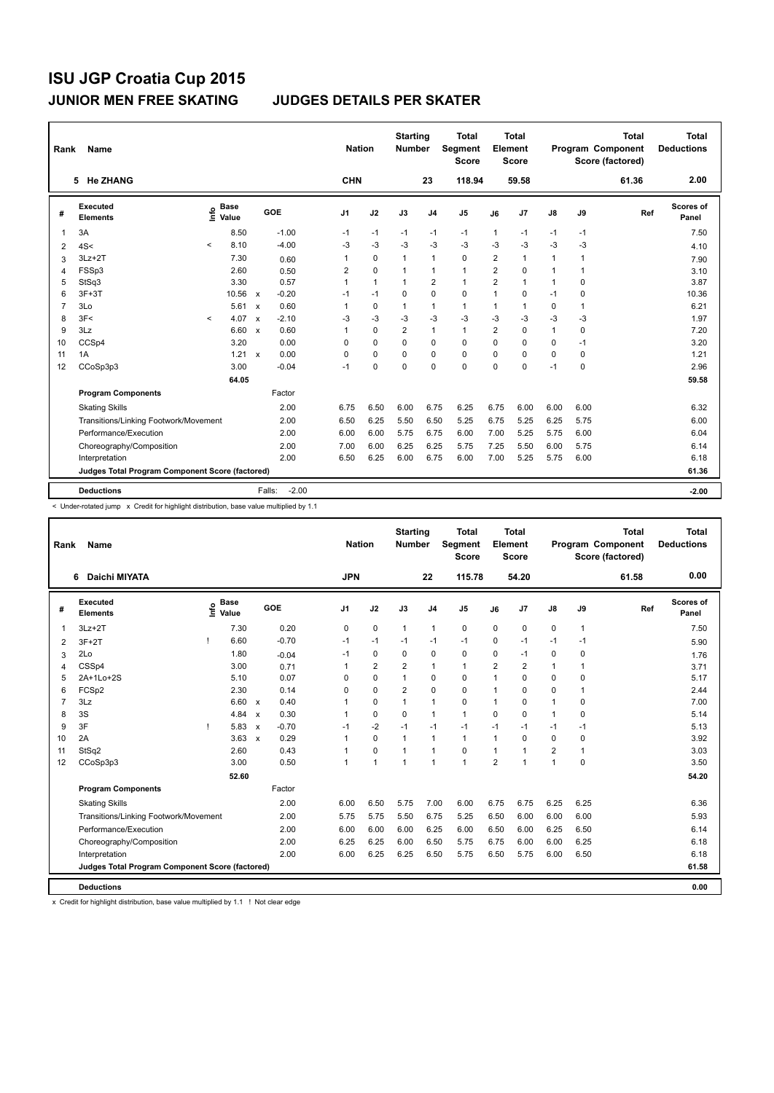| Rank           | Name                                            |            |                      |                           |                   |                | <b>Nation</b> |              | <b>Starting</b><br><b>Number</b> |                | <b>Total</b><br><b>Segment</b><br><b>Score</b> |                | <b>Total</b><br>Element<br><b>Score</b> |               |             | <b>Total</b><br><b>Program Component</b><br>Score (factored) | Total<br><b>Deductions</b> |
|----------------|-------------------------------------------------|------------|----------------------|---------------------------|-------------------|----------------|---------------|--------------|----------------------------------|----------------|------------------------------------------------|----------------|-----------------------------------------|---------------|-------------|--------------------------------------------------------------|----------------------------|
|                | 5 He ZHANG                                      |            |                      |                           |                   |                | <b>CHN</b>    |              |                                  | 23             | 118.94                                         |                | 59.58                                   |               |             | 61.36                                                        | 2.00                       |
| #              | Executed<br><b>Elements</b>                     | lnfo       | <b>Base</b><br>Value |                           | GOE               | J <sub>1</sub> |               | J2           | J3                               | J <sub>4</sub> | J <sub>5</sub>                                 | J6             | J7                                      | $\mathsf{J}8$ | J9          | Ref                                                          | <b>Scores of</b><br>Panel  |
| 1              | 3A                                              |            | 8.50                 |                           | $-1.00$           | $-1$           |               | $-1$         | $-1$                             | $-1$           | $-1$                                           | 1              | $-1$                                    | $-1$          | $-1$        |                                                              | 7.50                       |
| 2              | 4S<                                             | $\prec$    | 8.10                 |                           | $-4.00$           | -3             |               | $-3$         | $-3$                             | $-3$           | $-3$                                           | $-3$           | $-3$                                    | $-3$          | $-3$        |                                                              | 4.10                       |
| 3              | $3Lz + 2T$                                      |            | 7.30                 |                           | 0.60              | 1              |               | $\mathbf 0$  | 1                                | $\mathbf{1}$   | $\mathbf 0$                                    | $\overline{2}$ | 1                                       | $\mathbf{1}$  | 1           |                                                              | 7.90                       |
| 4              | FSSp3                                           |            | 2.60                 |                           | 0.50              | 2              |               | $\Omega$     | 1                                | $\mathbf{1}$   | $\mathbf{1}$                                   | $\overline{2}$ | $\Omega$                                | $\mathbf{1}$  | 1           |                                                              | 3.10                       |
| 5              | StSq3                                           |            | 3.30                 |                           | 0.57              | $\mathbf{1}$   |               | $\mathbf{1}$ | $\mathbf{1}$                     | $\overline{2}$ | $\mathbf{1}$                                   | $\overline{2}$ | 1                                       | $\mathbf{1}$  | $\Omega$    |                                                              | 3.87                       |
| 6              | $3F+3T$                                         |            | 10.56                | $\mathsf{x}$              | $-0.20$           | $-1$           |               | $-1$         | 0                                | $\mathbf 0$    | 0                                              | 1              | 0                                       | $-1$          | 0           |                                                              | 10.36                      |
| $\overline{7}$ | 3Lo                                             |            | 5.61                 | $\mathsf{x}$              | 0.60              | 1              |               | $\mathbf 0$  | $\mathbf{1}$                     | $\mathbf{1}$   | $\mathbf{1}$                                   | 1              | 1                                       | 0             | 1           |                                                              | 6.21                       |
| 8              | 3F<                                             | $\epsilon$ | 4.07                 | $\boldsymbol{\mathsf{x}}$ | $-2.10$           | $-3$           |               | -3           | $-3$                             | $-3$           | $-3$                                           | $-3$           | $-3$                                    | $-3$          | $-3$        |                                                              | 1.97                       |
| 9              | 3Lz                                             |            | 6.60                 | $\boldsymbol{\mathsf{x}}$ | 0.60              | 1              |               | $\mathbf 0$  | $\overline{2}$                   | $\mathbf{1}$   | $\mathbf{1}$                                   | $\overline{2}$ | $\Omega$                                | $\mathbf{1}$  | 0           |                                                              | 7.20                       |
| 10             | CCSp4                                           |            | 3.20                 |                           | 0.00              | $\Omega$       |               | $\Omega$     | 0                                | 0              | $\mathbf 0$                                    | 0              | $\Omega$                                | 0             | $-1$        |                                                              | 3.20                       |
| 11             | 1A                                              |            | 1.21                 | $\mathsf{x}$              | 0.00              | 0              |               | $\mathbf 0$  | 0                                | $\mathbf 0$    | 0                                              | 0              | 0                                       | 0             | $\mathbf 0$ |                                                              | 1.21                       |
| 12             | CCoSp3p3                                        |            | 3.00                 |                           | $-0.04$           | $-1$           |               | $\Omega$     | $\Omega$                         | $\Omega$       | $\Omega$                                       | 0              | 0                                       | $-1$          | $\Omega$    |                                                              | 2.96                       |
|                |                                                 |            | 64.05                |                           |                   |                |               |              |                                  |                |                                                |                |                                         |               |             |                                                              | 59.58                      |
|                | <b>Program Components</b>                       |            |                      |                           | Factor            |                |               |              |                                  |                |                                                |                |                                         |               |             |                                                              |                            |
|                | <b>Skating Skills</b>                           |            |                      |                           | 2.00              | 6.75           |               | 6.50         | 6.00                             | 6.75           | 6.25                                           | 6.75           | 6.00                                    | 6.00          | 6.00        |                                                              | 6.32                       |
|                | Transitions/Linking Footwork/Movement           |            |                      |                           | 2.00              | 6.50           |               | 6.25         | 5.50                             | 6.50           | 5.25                                           | 6.75           | 5.25                                    | 6.25          | 5.75        |                                                              | 6.00                       |
|                | Performance/Execution                           |            |                      |                           | 2.00              | 6.00           |               | 6.00         | 5.75                             | 6.75           | 6.00                                           | 7.00           | 5.25                                    | 5.75          | 6.00        |                                                              | 6.04                       |
|                | Choreography/Composition                        |            |                      |                           | 2.00              | 7.00           |               | 6.00         | 6.25                             | 6.25           | 5.75                                           | 7.25           | 5.50                                    | 6.00          | 5.75        |                                                              | 6.14                       |
|                | Interpretation                                  |            |                      |                           | 2.00              | 6.50           |               | 6.25         | 6.00                             | 6.75           | 6.00                                           | 7.00           | 5.25                                    | 5.75          | 6.00        |                                                              | 6.18                       |
|                | Judges Total Program Component Score (factored) |            |                      |                           |                   |                |               |              |                                  |                |                                                |                |                                         |               |             |                                                              | 61.36                      |
|                | <b>Deductions</b>                               |            |                      |                           | $-2.00$<br>Falls: |                |               |              |                                  |                |                                                |                |                                         |               |             |                                                              | $-2.00$                    |

< Under-rotated jump x Credit for highlight distribution, base value multiplied by 1.1

| Rank           | Name                                            |                                  |              |         |                | <b>Nation</b>  | <b>Starting</b><br><b>Number</b> |                | <b>Total</b><br>Segment<br><b>Score</b> |                | <b>Total</b><br>Element<br><b>Score</b> |                |              | <b>Total</b><br>Program Component<br>Score (factored) | <b>Total</b><br><b>Deductions</b> |
|----------------|-------------------------------------------------|----------------------------------|--------------|---------|----------------|----------------|----------------------------------|----------------|-----------------------------------------|----------------|-----------------------------------------|----------------|--------------|-------------------------------------------------------|-----------------------------------|
|                | <b>Daichi MIYATA</b><br>6                       |                                  |              |         | <b>JPN</b>     |                |                                  | 22             | 115.78                                  |                | 54.20                                   |                |              | 61.58                                                 | 0.00                              |
| #              | Executed<br><b>Elements</b>                     | <b>Base</b><br>e Base<br>E Value |              | GOE     | J <sub>1</sub> | J2             | J3                               | J <sub>4</sub> | J5                                      | J6             | J7                                      | J8             | J9           | Ref                                                   | Scores of<br>Panel                |
| 1              | $3Lz + 2T$                                      | 7.30                             |              | 0.20    | 0              | $\pmb{0}$      | $\mathbf{1}$                     | $\mathbf{1}$   | 0                                       | 0              | 0                                       | $\pmb{0}$      | $\mathbf{1}$ |                                                       | 7.50                              |
| 2              | Ţ<br>$3F+2T$                                    | 6.60                             |              | $-0.70$ | $-1$           | $-1$           | $-1$                             | $-1$           | $-1$                                    | 0              | $-1$                                    | $-1$           | $-1$         |                                                       | 5.90                              |
| 3              | 2Lo                                             | 1.80                             |              | $-0.04$ | $-1$           | $\mathbf 0$    | 0                                | $\mathbf 0$    | 0                                       | 0              | $-1$                                    | $\mathbf 0$    | 0            |                                                       | 1.76                              |
| 4              | CSSp4                                           | 3.00                             |              | 0.71    | 1              | $\overline{2}$ | $\overline{2}$                   | $\mathbf{1}$   | $\mathbf{1}$                            | $\overline{2}$ | $\overline{2}$                          | $\mathbf{1}$   | 1            |                                                       | 3.71                              |
| 5              | 2A+1Lo+2S                                       | 5.10                             |              | 0.07    | 0              | $\mathbf 0$    | $\mathbf{1}$                     | $\mathbf 0$    | 0                                       | 1              | $\mathbf 0$                             | 0              | 0            |                                                       | 5.17                              |
| 6              | FCSp2                                           | 2.30                             |              | 0.14    | 0              | $\mathbf 0$    | $\overline{2}$                   | $\mathbf 0$    | 0                                       | 1              | $\Omega$                                | 0              | 1            |                                                       | 2.44                              |
| $\overline{7}$ | 3Lz                                             | 6.60                             | $\mathsf{x}$ | 0.40    |                | 0              | 1                                | $\mathbf{1}$   | 0                                       | 1              | $\Omega$                                | $\mathbf{1}$   | 0            |                                                       | 7.00                              |
| 8              | 3S                                              | 4.84                             | $\mathsf{x}$ | 0.30    |                | $\pmb{0}$      | $\mathbf 0$                      | $\mathbf{1}$   | $\mathbf{1}$                            | $\mathbf 0$    | 0                                       | $\mathbf{1}$   | 0            |                                                       | 5.14                              |
| 9              | 3F<br>т                                         | 5.83                             | $\mathsf{x}$ | $-0.70$ | $-1$           | $-2$           | $-1$                             | $-1$           | $-1$                                    | $-1$           | $-1$                                    | $-1$           | $-1$         |                                                       | 5.13                              |
| 10             | 2A                                              | 3.63                             | $\mathsf{x}$ | 0.29    | 1              | $\mathbf 0$    | $\mathbf{1}$                     | $\mathbf{1}$   | $\mathbf{1}$                            | $\mathbf{1}$   | $\Omega$                                | $\mathbf 0$    | 0            |                                                       | 3.92                              |
| 11             | StSq2                                           | 2.60                             |              | 0.43    | $\mathbf{1}$   | $\mathbf 0$    | $\mathbf{1}$                     | $\mathbf{1}$   | 0                                       | $\mathbf{1}$   | 1                                       | $\overline{2}$ | $\mathbf{1}$ |                                                       | 3.03                              |
| 12             | CCoSp3p3                                        | 3.00                             |              | 0.50    | 1              | $\overline{1}$ | 1                                | $\mathbf{1}$   | $\mathbf{1}$                            | $\overline{2}$ | 1                                       | $\mathbf{1}$   | $\Omega$     |                                                       | 3.50                              |
|                |                                                 | 52.60                            |              |         |                |                |                                  |                |                                         |                |                                         |                |              |                                                       | 54.20                             |
|                | <b>Program Components</b>                       |                                  |              | Factor  |                |                |                                  |                |                                         |                |                                         |                |              |                                                       |                                   |
|                | <b>Skating Skills</b>                           |                                  |              | 2.00    | 6.00           | 6.50           | 5.75                             | 7.00           | 6.00                                    | 6.75           | 6.75                                    | 6.25           | 6.25         |                                                       | 6.36                              |
|                | Transitions/Linking Footwork/Movement           |                                  |              | 2.00    | 5.75           | 5.75           | 5.50                             | 6.75           | 5.25                                    | 6.50           | 6.00                                    | 6.00           | 6.00         |                                                       | 5.93                              |
|                | Performance/Execution                           |                                  |              | 2.00    | 6.00           | 6.00           | 6.00                             | 6.25           | 6.00                                    | 6.50           | 6.00                                    | 6.25           | 6.50         |                                                       | 6.14                              |
|                | Choreography/Composition                        |                                  |              | 2.00    | 6.25           | 6.25           | 6.00                             | 6.50           | 5.75                                    | 6.75           | 6.00                                    | 6.00           | 6.25         |                                                       | 6.18                              |
|                | Interpretation                                  |                                  |              | 2.00    | 6.00           | 6.25           | 6.25                             | 6.50           | 5.75                                    | 6.50           | 5.75                                    | 6.00           | 6.50         |                                                       | 6.18                              |
|                | Judges Total Program Component Score (factored) |                                  |              |         |                |                |                                  |                |                                         |                |                                         |                |              |                                                       | 61.58                             |
|                | <b>Deductions</b>                               |                                  |              |         |                |                |                                  |                |                                         |                |                                         |                |              |                                                       | 0.00                              |

x Credit for highlight distribution, base value multiplied by 1.1 ! Not clear edge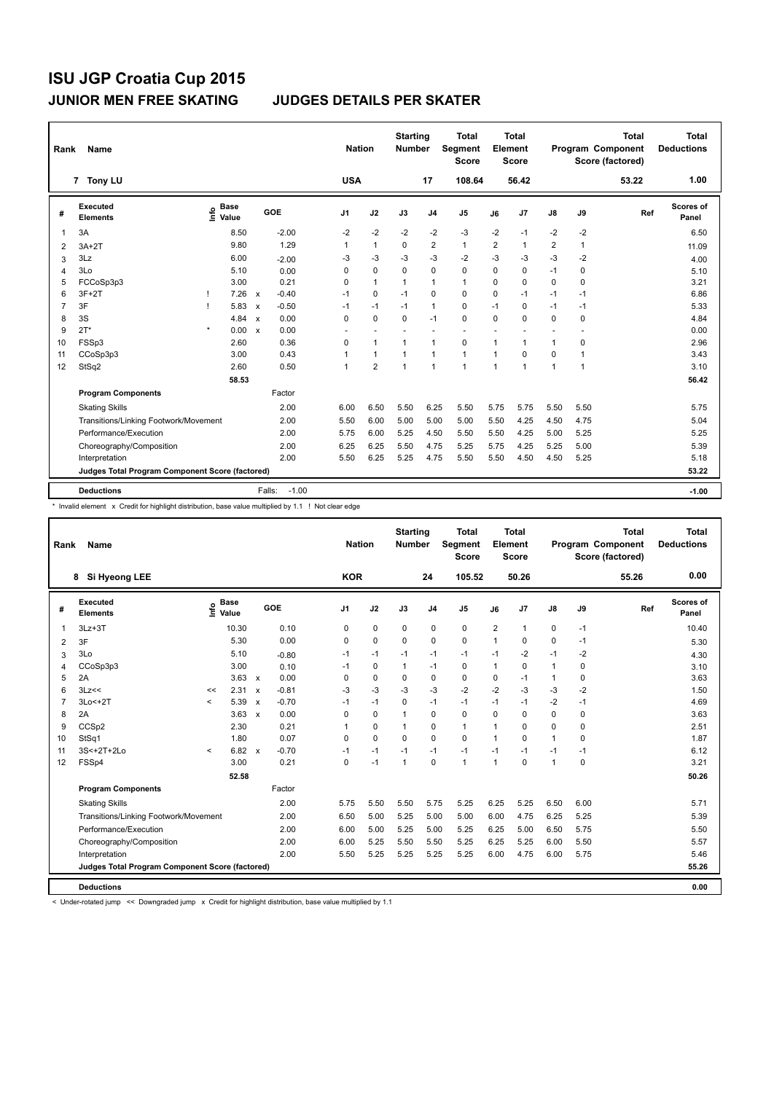| Rank           | Name                                            |         |                      |                           |                   | <b>Nation</b>  |                | <b>Starting</b><br><b>Number</b> |                | <b>Total</b><br><b>Segment</b><br><b>Score</b> |                | <b>Total</b><br>Element<br><b>Score</b> |                |              | <b>Total</b><br><b>Program Component</b><br>Score (factored) | <b>Total</b><br><b>Deductions</b> |
|----------------|-------------------------------------------------|---------|----------------------|---------------------------|-------------------|----------------|----------------|----------------------------------|----------------|------------------------------------------------|----------------|-----------------------------------------|----------------|--------------|--------------------------------------------------------------|-----------------------------------|
|                | 7 Tony LU                                       |         |                      |                           |                   | <b>USA</b>     |                |                                  | 17             | 108.64                                         |                | 56.42                                   |                |              | 53.22                                                        | 1.00                              |
| #              | Executed<br><b>Elements</b>                     | lnfo    | <b>Base</b><br>Value |                           | GOE               | J <sub>1</sub> | J2             | J3                               | J <sub>4</sub> | J <sub>5</sub>                                 | J6             | J7                                      | $\mathsf{J}8$  | J9           | Ref                                                          | Scores of<br>Panel                |
| 1              | 3A                                              |         | 8.50                 |                           | $-2.00$           | $-2$           | $-2$           | $-2$                             | $-2$           | $-3$                                           | $-2$           | $-1$                                    | $-2$           | $-2$         |                                                              | 6.50                              |
| $\overline{2}$ | $3A+2T$                                         |         | 9.80                 |                           | 1.29              | 1              | $\mathbf{1}$   | 0                                | $\overline{2}$ | $\mathbf{1}$                                   | $\overline{2}$ | $\mathbf{1}$                            | $\overline{2}$ | $\mathbf{1}$ |                                                              | 11.09                             |
| 3              | 3Lz                                             |         | 6.00                 |                           | $-2.00$           | -3             | $-3$           | $-3$                             | $-3$           | $-2$                                           | $-3$           | $-3$                                    | $-3$           | $-2$         |                                                              | 4.00                              |
| 4              | 3Lo                                             |         | 5.10                 |                           | 0.00              | 0              | $\mathbf 0$    | 0                                | 0              | $\mathbf 0$                                    | 0              | 0                                       | $-1$           | 0            |                                                              | 5.10                              |
| 5              | FCCoSp3p3                                       |         | 3.00                 |                           | 0.21              | 0              | $\mathbf{1}$   | 1                                | 1              | $\mathbf{1}$                                   | 0              | 0                                       | 0              | 0            |                                                              | 3.21                              |
| 6              | $3F+2T$                                         |         | 7.26                 | $\mathsf{x}$              | $-0.40$           | $-1$           | $\mathbf 0$    | $-1$                             | 0              | $\mathbf 0$                                    | 0              | $-1$                                    | $-1$           | $-1$         |                                                              | 6.86                              |
| $\overline{7}$ | 3F                                              |         | 5.83                 | $\boldsymbol{\mathsf{x}}$ | $-0.50$           | $-1$           | $-1$           | $-1$                             | $\mathbf{1}$   | 0                                              | $-1$           | 0                                       | $-1$           | $-1$         |                                                              | 5.33                              |
| 8              | 3S                                              |         | 4.84                 | $\mathsf{x}$              | 0.00              | $\Omega$       | $\mathbf 0$    | $\Omega$                         | $-1$           | $\mathbf 0$                                    | $\Omega$       | $\Omega$                                | 0              | $\Omega$     |                                                              | 4.84                              |
| 9              | $2T^*$                                          | $\star$ | 0.00                 | $\mathsf{x}$              | 0.00              |                |                |                                  | ٠              |                                                |                |                                         |                |              |                                                              | 0.00                              |
| 10             | FSSp3                                           |         | 2.60                 |                           | 0.36              | 0              | $\mathbf{1}$   | $\mathbf{1}$                     | $\mathbf{1}$   | $\mathbf 0$                                    | 1              | 1                                       | $\mathbf{1}$   | $\mathbf 0$  |                                                              | 2.96                              |
| 11             | CCoSp3p3                                        |         | 3.00                 |                           | 0.43              | 1              | $\mathbf{1}$   | $\mathbf{1}$                     | $\mathbf{1}$   | $\mathbf{1}$                                   | 1              | $\mathbf 0$                             | $\mathbf 0$    | 1            |                                                              | 3.43                              |
| 12             | StSq2                                           |         | 2.60                 |                           | 0.50              | 1              | $\overline{2}$ | $\mathbf{1}$                     | $\overline{1}$ | $\mathbf{1}$                                   | $\mathbf{1}$   | 1                                       | $\mathbf{1}$   | 1            |                                                              | 3.10                              |
|                |                                                 |         | 58.53                |                           |                   |                |                |                                  |                |                                                |                |                                         |                |              |                                                              | 56.42                             |
|                | <b>Program Components</b>                       |         |                      |                           | Factor            |                |                |                                  |                |                                                |                |                                         |                |              |                                                              |                                   |
|                | <b>Skating Skills</b>                           |         |                      |                           | 2.00              | 6.00           | 6.50           | 5.50                             | 6.25           | 5.50                                           | 5.75           | 5.75                                    | 5.50           | 5.50         |                                                              | 5.75                              |
|                | Transitions/Linking Footwork/Movement           |         |                      |                           | 2.00              | 5.50           | 6.00           | 5.00                             | 5.00           | 5.00                                           | 5.50           | 4.25                                    | 4.50           | 4.75         |                                                              | 5.04                              |
|                | Performance/Execution                           |         |                      |                           | 2.00              | 5.75           | 6.00           | 5.25                             | 4.50           | 5.50                                           | 5.50           | 4.25                                    | 5.00           | 5.25         |                                                              | 5.25                              |
|                | Choreography/Composition                        |         |                      |                           | 2.00              | 6.25           | 6.25           | 5.50                             | 4.75           | 5.25                                           | 5.75           | 4.25                                    | 5.25           | 5.00         |                                                              | 5.39                              |
|                | Interpretation                                  |         |                      |                           | 2.00              | 5.50           | 6.25           | 5.25                             | 4.75           | 5.50                                           | 5.50           | 4.50                                    | 4.50           | 5.25         |                                                              | 5.18                              |
|                | Judges Total Program Component Score (factored) |         |                      |                           |                   |                |                |                                  |                |                                                |                |                                         |                |              |                                                              | 53.22                             |
|                |                                                 |         |                      |                           |                   |                |                |                                  |                |                                                |                |                                         |                |              |                                                              |                                   |
|                | <b>Deductions</b>                               |         |                      |                           | $-1.00$<br>Falls: |                |                |                                  |                |                                                |                |                                         |                |              |                                                              | $-1.00$                           |

\* Invalid element x Credit for highlight distribution, base value multiplied by 1.1 ! Not clear edge

| Rank           | Name                                            |                     |                                  |              |         | <b>Nation</b> |             | <b>Starting</b><br><b>Number</b> |                | <b>Total</b><br>Segment<br><b>Score</b> |      | <b>Total</b><br>Element<br><b>Score</b> |              |             | <b>Total</b><br>Program Component<br>Score (factored) | <b>Total</b><br><b>Deductions</b> |
|----------------|-------------------------------------------------|---------------------|----------------------------------|--------------|---------|---------------|-------------|----------------------------------|----------------|-----------------------------------------|------|-----------------------------------------|--------------|-------------|-------------------------------------------------------|-----------------------------------|
|                | Si Hyeong LEE<br>8                              |                     |                                  |              |         | <b>KOR</b>    |             |                                  | 24             | 105.52                                  |      | 50.26                                   |              |             | 55.26                                                 | 0.00                              |
| #              | Executed<br><b>Elements</b>                     |                     | <b>Base</b><br>e Base<br>⊆ Value |              | GOE     | J1            | J2          | J3                               | J <sub>4</sub> | J <sub>5</sub>                          | J6   | J7                                      | J8           | J9          | Ref                                                   | Scores of<br>Panel                |
| 1              | $3Lz + 3T$                                      |                     | 10.30                            |              | 0.10    | 0             | $\pmb{0}$   | $\mathbf 0$                      | $\pmb{0}$      | $\pmb{0}$                               | 2    | 1                                       | 0            | $-1$        |                                                       | 10.40                             |
| $\overline{2}$ | 3F                                              |                     | 5.30                             |              | 0.00    | 0             | $\mathbf 0$ | $\Omega$                         | $\mathbf 0$    | 0                                       | 1    | 0                                       | 0            | $-1$        |                                                       | 5.30                              |
| 3              | 3Lo                                             |                     | 5.10                             |              | $-0.80$ | $-1$          | $-1$        | $-1$                             | $-1$           | $-1$                                    | $-1$ | $-2$                                    | $-1$         | $-2$        |                                                       | 4.30                              |
| 4              | CCoSp3p3                                        |                     | 3.00                             |              | 0.10    | $-1$          | $\mathbf 0$ | $\mathbf{1}$                     | $-1$           | $\mathbf 0$                             | 1    | $\mathbf 0$                             | $\mathbf{1}$ | 0           |                                                       | 3.10                              |
| 5              | 2A                                              |                     | 3.63                             | $\mathsf{x}$ | 0.00    | 0             | 0           | 0                                | 0              | 0                                       | 0    | $-1$                                    | 1            | 0           |                                                       | 3.63                              |
| 6              | 3Lz<<                                           | <<                  | $2.31 \times$                    |              | $-0.81$ | $-3$          | $-3$        | $-3$                             | $-3$           | $-2$                                    | $-2$ | $-3$                                    | $-3$         | $-2$        |                                                       | 1.50                              |
| $\overline{7}$ | $3Lo < +2T$                                     | $\prec$             | 5.39                             | $\mathsf{x}$ | $-0.70$ | $-1$          | $-1$        | $\mathbf 0$                      | $-1$           | $-1$                                    | $-1$ | $-1$                                    | $-2$         | $-1$        |                                                       | 4.69                              |
| 8              | 2A                                              |                     | 3.63                             | $\mathbf{x}$ | 0.00    | 0             | $\mathbf 0$ | $\mathbf{1}$                     | $\Omega$       | 0                                       | 0    | $\Omega$                                | 0            | 0           |                                                       | 3.63                              |
| 9              | CCSp2                                           |                     | 2.30                             |              | 0.21    | 1             | $\mathbf 0$ | $\mathbf{1}$                     | 0              | $\mathbf{1}$                            | 1    | 0                                       | 0            | 0           |                                                       | 2.51                              |
| 10             | StSq1                                           |                     | 1.80                             |              | 0.07    | 0             | $\mathbf 0$ | $\Omega$                         | $\mathbf 0$    | 0                                       | 1    | 0                                       | 1            | 0           |                                                       | 1.87                              |
| 11             | 3S<+2T+2Lo                                      | $\hat{\phantom{a}}$ | 6.82                             | $\mathsf{x}$ | $-0.70$ | $-1$          | $-1$        | $-1$                             | $-1$           | $-1$                                    | $-1$ | $-1$                                    | $-1$         | $-1$        |                                                       | 6.12                              |
| 12             | FSSp4                                           |                     | 3.00                             |              | 0.21    | 0             | $-1$        | $\mathbf{1}$                     | 0              | $\mathbf{1}$                            | 1    | 0                                       | 1            | $\mathbf 0$ |                                                       | 3.21                              |
|                |                                                 |                     | 52.58                            |              |         |               |             |                                  |                |                                         |      |                                         |              |             |                                                       | 50.26                             |
|                | <b>Program Components</b>                       |                     |                                  |              | Factor  |               |             |                                  |                |                                         |      |                                         |              |             |                                                       |                                   |
|                | <b>Skating Skills</b>                           |                     |                                  |              | 2.00    | 5.75          | 5.50        | 5.50                             | 5.75           | 5.25                                    | 6.25 | 5.25                                    | 6.50         | 6.00        |                                                       | 5.71                              |
|                | Transitions/Linking Footwork/Movement           |                     |                                  |              | 2.00    | 6.50          | 5.00        | 5.25                             | 5.00           | 5.00                                    | 6.00 | 4.75                                    | 6.25         | 5.25        |                                                       | 5.39                              |
|                | Performance/Execution                           |                     |                                  |              | 2.00    | 6.00          | 5.00        | 5.25                             | 5.00           | 5.25                                    | 6.25 | 5.00                                    | 6.50         | 5.75        |                                                       | 5.50                              |
|                | Choreography/Composition                        |                     |                                  |              | 2.00    | 6.00          | 5.25        | 5.50                             | 5.50           | 5.25                                    | 6.25 | 5.25                                    | 6.00         | 5.50        |                                                       | 5.57                              |
|                | Interpretation                                  |                     |                                  |              | 2.00    | 5.50          | 5.25        | 5.25                             | 5.25           | 5.25                                    | 6.00 | 4.75                                    | 6.00         | 5.75        |                                                       | 5.46                              |
|                | Judges Total Program Component Score (factored) |                     |                                  |              |         |               |             |                                  |                |                                         |      |                                         |              |             |                                                       | 55.26                             |
|                |                                                 |                     |                                  |              |         |               |             |                                  |                |                                         |      |                                         |              |             |                                                       |                                   |
|                | <b>Deductions</b>                               |                     |                                  |              |         |               |             |                                  |                |                                         |      |                                         |              |             |                                                       | 0.00                              |

< Under-rotated jump << Downgraded jump x Credit for highlight distribution, base value multiplied by 1.1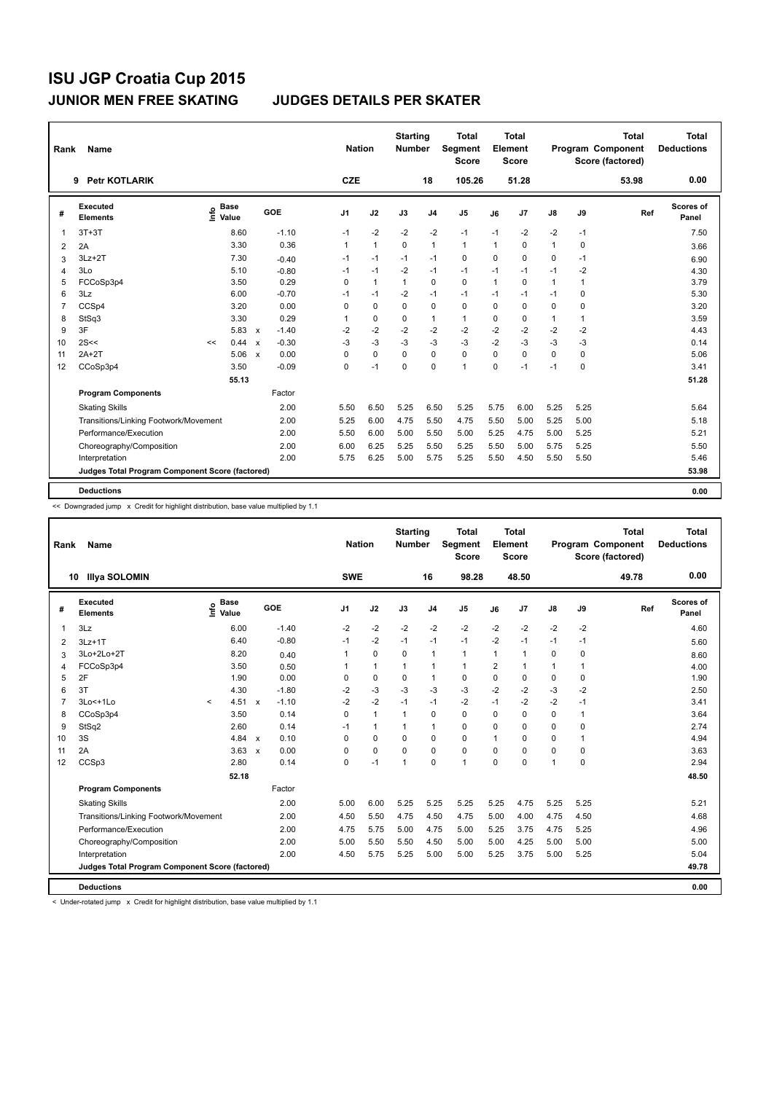| Rank           | Name                                            |                                  |       |                                      |                | <b>Nation</b> | <b>Starting</b><br><b>Number</b> |                | <b>Total</b><br>Segment<br><b>Score</b> |              | <b>Total</b><br>Element<br><b>Score</b> |              |              | <b>Total</b><br>Program Component<br>Score (factored) | <b>Total</b><br><b>Deductions</b> |
|----------------|-------------------------------------------------|----------------------------------|-------|--------------------------------------|----------------|---------------|----------------------------------|----------------|-----------------------------------------|--------------|-----------------------------------------|--------------|--------------|-------------------------------------------------------|-----------------------------------|
|                | <b>Petr KOTLARIK</b><br>9                       |                                  |       |                                      | <b>CZE</b>     |               |                                  | 18             | 105.26                                  |              | 51.28                                   |              |              | 53.98                                                 | 0.00                              |
| #              | <b>Executed</b><br><b>Elements</b>              | <b>Base</b><br>e Base<br>⊆ Value |       | GOE                                  | J <sub>1</sub> | J2            | J3                               | J <sub>4</sub> | J <sub>5</sub>                          | J6           | J <sub>7</sub>                          | J8           | J9           | Ref                                                   | Scores of<br>Panel                |
| $\mathbf 1$    | $3T+3T$                                         |                                  | 8.60  | $-1.10$                              | $-1$           | $-2$          | $-2$                             | $-2$           | $-1$                                    | $-1$         | $-2$                                    | $-2$         | $-1$         |                                                       | 7.50                              |
| 2              | 2A                                              |                                  | 3.30  | 0.36                                 | $\mathbf{1}$   | $\mathbf{1}$  | $\Omega$                         | $\mathbf{1}$   | $\mathbf{1}$                            | $\mathbf{1}$ | $\mathbf 0$                             | $\mathbf{1}$ | 0            |                                                       | 3.66                              |
| 3              | $3Lz + 2T$                                      |                                  | 7.30  | $-0.40$                              | $-1$           | $-1$          | $-1$                             | $-1$           | 0                                       | $\Omega$     | $\Omega$                                | $\mathbf 0$  | $-1$         |                                                       | 6.90                              |
| $\overline{4}$ | 3Lo                                             |                                  | 5.10  | $-0.80$                              | $-1$           | $-1$          | $-2$                             | $-1$           | $-1$                                    | $-1$         | $-1$                                    | $-1$         | $-2$         |                                                       | 4.30                              |
| 5              | FCCoSp3p4                                       |                                  | 3.50  | 0.29                                 | 0              | $\mathbf{1}$  | $\mathbf{1}$                     | 0              | 0                                       | $\mathbf{1}$ | $\mathbf 0$                             | $\mathbf{1}$ | $\mathbf{1}$ |                                                       | 3.79                              |
| 6              | 3Lz                                             |                                  | 6.00  | $-0.70$                              | $-1$           | $-1$          | $-2$                             | $-1$           | $-1$                                    | $-1$         | $-1$                                    | $-1$         | $\mathbf 0$  |                                                       | 5.30                              |
| $\overline{7}$ | CCSp4                                           |                                  | 3.20  | 0.00                                 | $\Omega$       | $\Omega$      | $\Omega$                         | 0              | $\Omega$                                | $\Omega$     | $\mathbf 0$                             | 0            | 0            |                                                       | 3.20                              |
| 8              | StSq3                                           |                                  | 3.30  | 0.29                                 | 1              | 0             | $\mathbf 0$                      | 1              | $\mathbf{1}$                            | 0            | $\mathbf 0$                             | $\mathbf{1}$ | $\mathbf{1}$ |                                                       | 3.59                              |
| 9              | 3F                                              |                                  | 5.83  | $-1.40$<br>$\mathsf{x}$              | $-2$           | $-2$          | $-2$                             | $-2$           | $-2$                                    | $-2$         | $-2$                                    | $-2$         | $-2$         |                                                       | 4.43                              |
| 10             | 2S<<                                            | <<                               | 0.44  | $-0.30$<br>$\boldsymbol{\mathsf{x}}$ | $-3$           | $-3$          | $-3$                             | $-3$           | $-3$                                    | $-2$         | $-3$                                    | $-3$         | $-3$         |                                                       | 0.14                              |
| 11             | $2A+2T$                                         |                                  | 5.06  | 0.00<br>$\mathbf{x}$                 | $\Omega$       | 0             | $\Omega$                         | 0              | 0                                       | $\mathbf 0$  | $\mathbf 0$                             | 0            | $\mathbf 0$  |                                                       | 5.06                              |
| 12             | CCoSp3p4                                        |                                  | 3.50  | $-0.09$                              | $\Omega$       | $-1$          | $\Omega$                         | $\Omega$       | $\mathbf{1}$                            | $\Omega$     | $-1$                                    | $-1$         | $\mathbf 0$  |                                                       | 3.41                              |
|                |                                                 |                                  | 55.13 |                                      |                |               |                                  |                |                                         |              |                                         |              |              |                                                       | 51.28                             |
|                | <b>Program Components</b>                       |                                  |       | Factor                               |                |               |                                  |                |                                         |              |                                         |              |              |                                                       |                                   |
|                | <b>Skating Skills</b>                           |                                  |       | 2.00                                 | 5.50           | 6.50          | 5.25                             | 6.50           | 5.25                                    | 5.75         | 6.00                                    | 5.25         | 5.25         |                                                       | 5.64                              |
|                | Transitions/Linking Footwork/Movement           |                                  |       | 2.00                                 | 5.25           | 6.00          | 4.75                             | 5.50           | 4.75                                    | 5.50         | 5.00                                    | 5.25         | 5.00         |                                                       | 5.18                              |
|                | Performance/Execution                           |                                  |       | 2.00                                 | 5.50           | 6.00          | 5.00                             | 5.50           | 5.00                                    | 5.25         | 4.75                                    | 5.00         | 5.25         |                                                       | 5.21                              |
|                | Choreography/Composition                        |                                  |       | 2.00                                 | 6.00           | 6.25          | 5.25                             | 5.50           | 5.25                                    | 5.50         | 5.00                                    | 5.75         | 5.25         |                                                       | 5.50                              |
|                | Interpretation                                  |                                  |       | 2.00                                 | 5.75           | 6.25          | 5.00                             | 5.75           | 5.25                                    | 5.50         | 4.50                                    | 5.50         | 5.50         |                                                       | 5.46                              |
|                | Judges Total Program Component Score (factored) |                                  |       |                                      |                |               |                                  |                |                                         |              |                                         |              |              |                                                       | 53.98                             |
|                | <b>Deductions</b>                               |                                  |       |                                      |                |               |                                  |                |                                         |              |                                         |              |              |                                                       | 0.00                              |

<< Downgraded jump x Credit for highlight distribution, base value multiplied by 1.1

| Rank           | Name                                            |                                  |                           |         | <b>Nation</b> |              | <b>Starting</b><br><b>Number</b> |                | Total<br>Segment<br><b>Score</b> |                | <b>Total</b><br>Element<br><b>Score</b> |              |      | <b>Total</b><br>Program Component<br>Score (factored) | <b>Total</b><br><b>Deductions</b> |
|----------------|-------------------------------------------------|----------------------------------|---------------------------|---------|---------------|--------------|----------------------------------|----------------|----------------------------------|----------------|-----------------------------------------|--------------|------|-------------------------------------------------------|-----------------------------------|
|                | Illya SOLOMIN<br>10                             |                                  |                           |         | <b>SWE</b>    |              |                                  | 16             | 98.28                            |                | 48.50                                   |              |      | 49.78                                                 | 0.00                              |
| #              | Executed<br><b>Elements</b>                     | <b>Base</b><br>e Base<br>⊆ Value |                           | GOE     | J1            | J2           | J3                               | J <sub>4</sub> | J <sub>5</sub>                   | J6             | J7                                      | J8           | J9   | Ref                                                   | <b>Scores of</b><br>Panel         |
| 1              | 3Lz                                             | 6.00                             |                           | $-1.40$ | $-2$          | $-2$         | $-2$                             | $-2$           | $-2$                             | $-2$           | $-2$                                    | $-2$         | $-2$ |                                                       | 4.60                              |
| 2              | $3Lz+1T$                                        | 6.40                             |                           | $-0.80$ | $-1$          | $-2$         | $-1$                             | $-1$           | $-1$                             | $-2$           | $-1$                                    | $-1$         | $-1$ |                                                       | 5.60                              |
| 3              | 3Lo+2Lo+2T                                      | 8.20                             |                           | 0.40    |               | $\mathbf 0$  | 0                                | $\mathbf{1}$   | $\mathbf{1}$                     | $\mathbf{1}$   | 1                                       | 0            | 0    |                                                       | 8.60                              |
| 4              | FCCoSp3p4                                       | 3.50                             |                           | 0.50    |               | $\mathbf{1}$ | 1                                | $\mathbf{1}$   | $\mathbf{1}$                     | $\overline{2}$ | 1                                       | $\mathbf{1}$ | 1    |                                                       | 4.00                              |
| 5              | 2F                                              | 1.90                             |                           | 0.00    | 0             | $\pmb{0}$    | $\mathbf 0$                      | $\mathbf{1}$   | $\pmb{0}$                        | 0              | 0                                       | 0            | 0    |                                                       | 1.90                              |
| 6              | 3T                                              | 4.30                             |                           | $-1.80$ | $-2$          | $-3$         | $-3$                             | $-3$           | $-3$                             | $-2$           | $-2$                                    | $-3$         | $-2$ |                                                       | 2.50                              |
| $\overline{7}$ | 3Lo<+1Lo                                        | 4.51<br>$\prec$                  | $\boldsymbol{\mathsf{x}}$ | $-1.10$ | $-2$          | $-2$         | $-1$                             | $-1$           | $-2$                             | $-1$           | $-2$                                    | $-2$         | $-1$ |                                                       | 3.41                              |
| 8              | CCoSp3p4                                        | 3.50                             |                           | 0.14    | 0             | $\mathbf{1}$ | $\mathbf{1}$                     | 0              | 0                                | $\Omega$       | $\Omega$                                | 0            | 1    |                                                       | 3.64                              |
| 9              | StSq2                                           | 2.60                             |                           | 0.14    | $-1$          | $\mathbf{1}$ | 1                                | $\mathbf{1}$   | $\Omega$                         | $\Omega$       | $\Omega$                                | $\Omega$     | 0    |                                                       | 2.74                              |
| 10             | 3S                                              | 4.84                             | $\mathsf{x}$              | 0.10    | 0             | $\mathbf 0$  | $\mathbf 0$                      | 0              | 0                                | 1              | 0                                       | 0            | 1    |                                                       | 4.94                              |
| 11             | 2A                                              | 3.63                             | $\mathsf{x}$              | 0.00    | 0             | $\mathbf 0$  | $\Omega$                         | $\mathbf 0$    | 0                                | $\Omega$       | 0                                       | 0            | 0    |                                                       | 3.63                              |
| 12             | CCSp3                                           | 2.80                             |                           | 0.14    | 0             | $-1$         | $\mathbf{1}$                     | $\Omega$       | $\mathbf{1}$                     | $\Omega$       | $\Omega$                                | 1            | 0    |                                                       | 2.94                              |
|                |                                                 | 52.18                            |                           |         |               |              |                                  |                |                                  |                |                                         |              |      |                                                       | 48.50                             |
|                | <b>Program Components</b>                       |                                  |                           | Factor  |               |              |                                  |                |                                  |                |                                         |              |      |                                                       |                                   |
|                | <b>Skating Skills</b>                           |                                  |                           | 2.00    | 5.00          | 6.00         | 5.25                             | 5.25           | 5.25                             | 5.25           | 4.75                                    | 5.25         | 5.25 |                                                       | 5.21                              |
|                | Transitions/Linking Footwork/Movement           |                                  |                           | 2.00    | 4.50          | 5.50         | 4.75                             | 4.50           | 4.75                             | 5.00           | 4.00                                    | 4.75         | 4.50 |                                                       | 4.68                              |
|                | Performance/Execution                           |                                  |                           | 2.00    | 4.75          | 5.75         | 5.00                             | 4.75           | 5.00                             | 5.25           | 3.75                                    | 4.75         | 5.25 |                                                       | 4.96                              |
|                | Choreography/Composition                        |                                  |                           | 2.00    | 5.00          | 5.50         | 5.50                             | 4.50           | 5.00                             | 5.00           | 4.25                                    | 5.00         | 5.00 |                                                       | 5.00                              |
|                | Interpretation                                  |                                  |                           | 2.00    | 4.50          | 5.75         | 5.25                             | 5.00           | 5.00                             | 5.25           | 3.75                                    | 5.00         | 5.25 |                                                       | 5.04                              |
|                | Judges Total Program Component Score (factored) |                                  |                           |         |               |              |                                  |                |                                  |                |                                         |              |      |                                                       | 49.78                             |
|                | <b>Deductions</b>                               |                                  |                           |         |               |              |                                  |                |                                  |                |                                         |              |      |                                                       | 0.00                              |

< Under-rotated jump x Credit for highlight distribution, base value multiplied by 1.1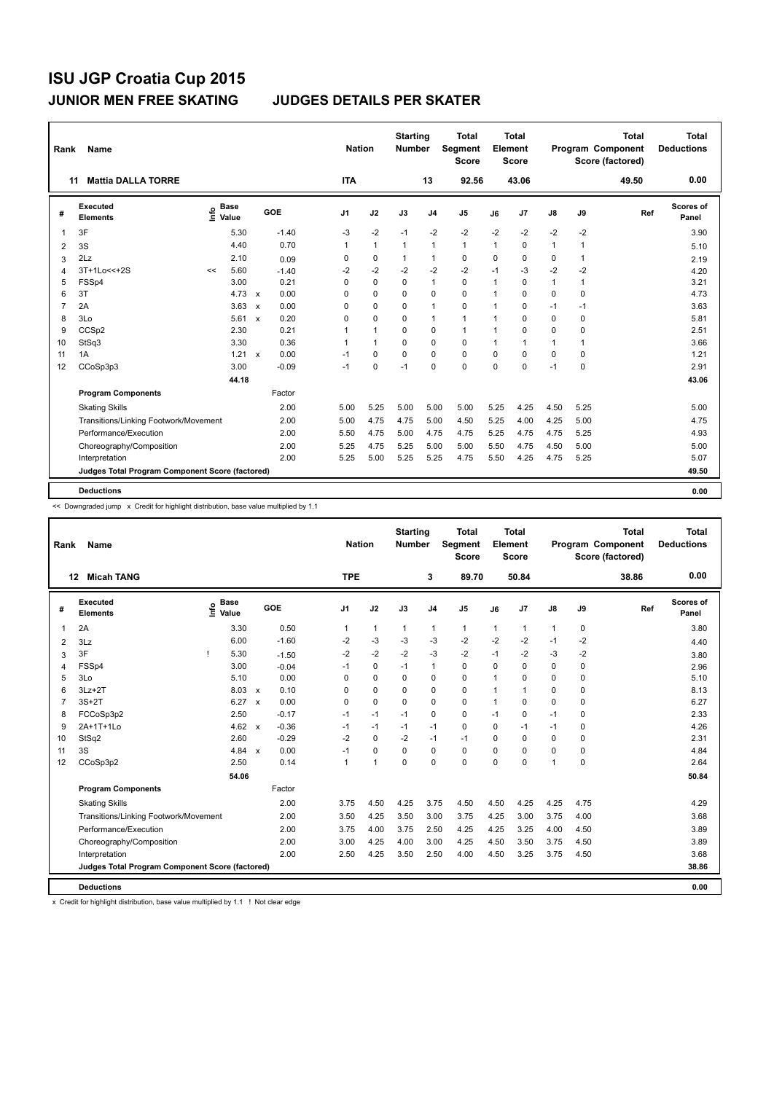| Rank                    | <b>Name</b>                                     |    |                                    |              |         |                | <b>Nation</b> |              | <b>Starting</b><br><b>Number</b> |                | <b>Total</b><br>Segment<br>Score |      | Total<br>Element<br><b>Score</b> |               |              | <b>Total</b><br>Program Component<br>Score (factored) | Total<br><b>Deductions</b> |
|-------------------------|-------------------------------------------------|----|------------------------------------|--------------|---------|----------------|---------------|--------------|----------------------------------|----------------|----------------------------------|------|----------------------------------|---------------|--------------|-------------------------------------------------------|----------------------------|
|                         | <b>Mattia DALLA TORRE</b><br>11                 |    |                                    |              |         | <b>ITA</b>     |               |              |                                  | 13             | 92.56                            |      | 43.06                            |               |              | 49.50                                                 | 0.00                       |
| #                       | Executed<br><b>Elements</b>                     |    | <b>Base</b><br>$\frac{6}{5}$ Value |              | GOE     | J <sub>1</sub> |               | J2           | J3                               | J <sub>4</sub> | J <sub>5</sub>                   | J6   | J7                               | $\mathsf{J}8$ | J9           | Ref                                                   | Scores of<br>Panel         |
| $\overline{1}$          | 3F                                              |    | 5.30                               |              | $-1.40$ | $-3$           |               | $-2$         | $-1$                             | $-2$           | $-2$                             | $-2$ | $-2$                             | $-2$          | $-2$         |                                                       | 3.90                       |
| $\overline{\mathbf{c}}$ | 3S                                              |    | 4.40                               |              | 0.70    | $\mathbf{1}$   |               | $\mathbf{1}$ | $\mathbf{1}$                     | $\mathbf{1}$   | $\mathbf{1}$                     | 1    | 0                                | $\mathbf{1}$  | $\mathbf{1}$ |                                                       | 5.10                       |
| 3                       | 2Lz                                             |    | 2.10                               |              | 0.09    | 0              |               | $\mathbf 0$  | 1                                | $\mathbf{1}$   | $\mathbf 0$                      | 0    | 0                                | 0             | $\mathbf{1}$ |                                                       | 2.19                       |
| 4                       | $3T+1Lo<<+2S$                                   | << | 5.60                               |              | $-1.40$ | $-2$           |               | $-2$         | $-2$                             | $-2$           | $-2$                             | $-1$ | $-3$                             | $-2$          | $-2$         |                                                       | 4.20                       |
| 5                       | FSSp4                                           |    | 3.00                               |              | 0.21    | $\Omega$       |               | $\mathbf 0$  | $\Omega$                         | $\mathbf{1}$   | $\mathbf 0$                      | 1    | 0                                | $\mathbf{1}$  | $\mathbf{1}$ |                                                       | 3.21                       |
| 6                       | 3T                                              |    | $4.73 \times$                      |              | 0.00    | $\Omega$       |               | $\Omega$     | $\Omega$                         | $\mathbf 0$    | $\Omega$                         | 1    | 0                                | 0             | 0            |                                                       | 4.73                       |
| $\overline{7}$          | 2A                                              |    | 3.63                               | $\mathsf{x}$ | 0.00    | $\Omega$       |               | $\mathbf 0$  | $\Omega$                         | $\mathbf{1}$   | $\mathbf 0$                      | 1    | 0                                | $-1$          | $-1$         |                                                       | 3.63                       |
| 8                       | 3Lo                                             |    | $5.61 \times$                      |              | 0.20    | $\Omega$       |               | $\Omega$     | $\Omega$                         | $\mathbf{1}$   | $\mathbf{1}$                     | 1    | $\Omega$                         | $\Omega$      | $\Omega$     |                                                       | 5.81                       |
| 9                       | CCSp2                                           |    | 2.30                               |              | 0.21    |                |               | $\mathbf{1}$ | $\mathbf 0$                      | $\mathbf 0$    | $\mathbf{1}$                     | 1    | 0                                | 0             | 0            |                                                       | 2.51                       |
| 10                      | StSq3                                           |    | 3.30                               |              | 0.36    | 1              |               | $\mathbf{1}$ | $\Omega$                         | $\mathbf 0$    | $\Omega$                         | 1    | $\mathbf{1}$                     | $\mathbf{1}$  | $\mathbf{1}$ |                                                       | 3.66                       |
| 11                      | 1A                                              |    | 1.21                               | $\mathbf{x}$ | 0.00    | $-1$           |               | 0            | $\Omega$                         | 0              | $\mathbf 0$                      | 0    | $\Omega$                         | 0             | $\Omega$     |                                                       | 1.21                       |
| 12                      | CCoSp3p3                                        |    | 3.00                               |              | $-0.09$ | $-1$           |               | $\mathbf 0$  | $-1$                             | $\Omega$       | $\Omega$                         | 0    | $\Omega$                         | $-1$          | $\mathbf 0$  |                                                       | 2.91                       |
|                         |                                                 |    | 44.18                              |              |         |                |               |              |                                  |                |                                  |      |                                  |               |              |                                                       | 43.06                      |
|                         | <b>Program Components</b>                       |    |                                    |              | Factor  |                |               |              |                                  |                |                                  |      |                                  |               |              |                                                       |                            |
|                         | <b>Skating Skills</b>                           |    |                                    |              | 2.00    | 5.00           |               | 5.25         | 5.00                             | 5.00           | 5.00                             | 5.25 | 4.25                             | 4.50          | 5.25         |                                                       | 5.00                       |
|                         | Transitions/Linking Footwork/Movement           |    |                                    |              | 2.00    | 5.00           |               | 4.75         | 4.75                             | 5.00           | 4.50                             | 5.25 | 4.00                             | 4.25          | 5.00         |                                                       | 4.75                       |
|                         | Performance/Execution                           |    |                                    |              | 2.00    | 5.50           |               | 4.75         | 5.00                             | 4.75           | 4.75                             | 5.25 | 4.75                             | 4.75          | 5.25         |                                                       | 4.93                       |
|                         | Choreography/Composition                        |    |                                    |              | 2.00    | 5.25           |               | 4.75         | 5.25                             | 5.00           | 5.00                             | 5.50 | 4.75                             | 4.50          | 5.00         |                                                       | 5.00                       |
|                         | Interpretation                                  |    |                                    |              | 2.00    | 5.25           |               | 5.00         | 5.25                             | 5.25           | 4.75                             | 5.50 | 4.25                             | 4.75          | 5.25         |                                                       | 5.07                       |
|                         | Judges Total Program Component Score (factored) |    |                                    |              |         |                |               |              |                                  |                |                                  |      |                                  |               |              |                                                       | 49.50                      |
|                         |                                                 |    |                                    |              |         |                |               |              |                                  |                |                                  |      |                                  |               |              |                                                       |                            |
|                         | <b>Deductions</b>                               |    |                                    |              |         |                |               |              |                                  |                |                                  |      |                                  |               |              |                                                       | 0.00                       |

<< Downgraded jump x Credit for highlight distribution, base value multiplied by 1.1

| Rank | Name                                            |                                  |               |                                   | <b>Nation</b>  |                      | <b>Starting</b><br><b>Number</b> |                | <b>Total</b><br><b>Segment</b><br><b>Score</b> |              | Total<br>Element<br><b>Score</b> |               |          | <b>Total</b><br>Program Component<br>Score (factored) | <b>Total</b><br><b>Deductions</b> |
|------|-------------------------------------------------|----------------------------------|---------------|-----------------------------------|----------------|----------------------|----------------------------------|----------------|------------------------------------------------|--------------|----------------------------------|---------------|----------|-------------------------------------------------------|-----------------------------------|
|      | <b>Micah TANG</b><br>$12 \,$                    |                                  |               |                                   | <b>TPE</b>     |                      |                                  | 3              | 89.70                                          |              | 50.84                            |               |          | 38.86                                                 | 0.00                              |
| #    | Executed<br><b>Elements</b>                     | <b>Base</b><br>e Base<br>⊆ Value |               | GOE                               | J <sub>1</sub> | J2                   | J3                               | J <sub>4</sub> | J <sub>5</sub>                                 | J6           | J7                               | $\mathsf{J}8$ | J9       | Ref                                                   | Scores of<br>Panel                |
| 1    | 2A                                              |                                  | 3.30          | 0.50                              | 1              | $\mathbf{1}$         | $\mathbf{1}$                     | $\mathbf{1}$   | $\mathbf{1}$                                   | $\mathbf{1}$ | 1                                | 1             | 0        |                                                       | 3.80                              |
| 2    | 3Lz                                             |                                  | 6.00          | $-1.60$                           | $-2$           | -3                   | -3                               | -3             | $-2$                                           | -2           | $-2$                             | $-1$          | $-2$     |                                                       | 4.40                              |
| 3    | 3F                                              |                                  | 5.30          | $-1.50$                           | $-2$           | $-2$                 | $-2$                             | $-3$           | $-2$                                           | $-1$         | $-2$                             | $-3$          | $-2$     |                                                       | 3.80                              |
| 4    | FSSp4                                           |                                  | 3.00          | $-0.04$                           | $-1$           | $\mathbf 0$          | $-1$                             | $\mathbf{1}$   | $\Omega$                                       | $\Omega$     | $\Omega$                         | $\Omega$      | 0        |                                                       | 2.96                              |
| 5    | 3Lo                                             |                                  | 5.10          | 0.00                              | $\Omega$       | 0                    | $\Omega$                         | 0              | 0                                              | 1            | $\Omega$                         | $\mathbf 0$   | 0        |                                                       | 5.10                              |
| 6    | $3Lz + 2T$                                      |                                  | 8.03          | 0.10<br>$\boldsymbol{\mathsf{x}}$ | 0              | $\mathbf 0$          | $\Omega$                         | 0              | 0                                              | 1            | 1                                | 0             | 0        |                                                       | 8.13                              |
| 7    | $3S+2T$                                         |                                  | $6.27 \times$ | 0.00                              | $\Omega$       | 0                    | $\Omega$                         | 0              | 0                                              | 1            | $\Omega$                         | 0             | 0        |                                                       | 6.27                              |
| 8    | FCCoSp3p2                                       |                                  | 2.50          | $-0.17$                           | $-1$           | $-1$                 | $-1$                             | $\mathbf 0$    | 0                                              | $-1$         | 0                                | $-1$          | 0        |                                                       | 2.33                              |
| 9    | 2A+1T+1Lo                                       |                                  | 4.62 $\times$ | $-0.36$                           | $-1$           | $-1$                 | $-1$                             | $-1$           | $\mathbf 0$                                    | $\Omega$     | $-1$                             | $-1$          | 0        |                                                       | 4.26                              |
| 10   | StSq2                                           |                                  | 2.60          | $-0.29$                           | $-2$           | $\mathbf 0$          | $-2$                             | $-1$           | $-1$                                           | $\Omega$     | $\Omega$                         | $\Omega$      | 0        |                                                       | 2.31                              |
| 11   | 3S                                              |                                  | 4.84 $\times$ | 0.00                              | $-1$           | $\mathbf 0$          | $\Omega$                         | $\mathbf 0$    | $\mathbf 0$                                    | $\Omega$     | $\Omega$                         | $\mathbf 0$   | 0        |                                                       | 4.84                              |
| 12   | CCoSp3p2                                        |                                  | 2.50          | 0.14                              | 1              | $\blacktriangleleft$ | $\Omega$                         | $\Omega$       | 0                                              | $\Omega$     | $\Omega$                         | 1             | $\Omega$ |                                                       | 2.64                              |
|      |                                                 |                                  | 54.06         |                                   |                |                      |                                  |                |                                                |              |                                  |               |          |                                                       | 50.84                             |
|      | <b>Program Components</b>                       |                                  |               | Factor                            |                |                      |                                  |                |                                                |              |                                  |               |          |                                                       |                                   |
|      | <b>Skating Skills</b>                           |                                  |               | 2.00                              | 3.75           | 4.50                 | 4.25                             | 3.75           | 4.50                                           | 4.50         | 4.25                             | 4.25          | 4.75     |                                                       | 4.29                              |
|      | Transitions/Linking Footwork/Movement           |                                  |               | 2.00                              | 3.50           | 4.25                 | 3.50                             | 3.00           | 3.75                                           | 4.25         | 3.00                             | 3.75          | 4.00     |                                                       | 3.68                              |
|      | Performance/Execution                           |                                  |               | 2.00                              | 3.75           | 4.00                 | 3.75                             | 2.50           | 4.25                                           | 4.25         | 3.25                             | 4.00          | 4.50     |                                                       | 3.89                              |
|      | Choreography/Composition                        |                                  |               | 2.00                              | 3.00           | 4.25                 | 4.00                             | 3.00           | 4.25                                           | 4.50         | 3.50                             | 3.75          | 4.50     |                                                       | 3.89                              |
|      | Interpretation                                  |                                  |               | 2.00                              | 2.50           | 4.25                 | 3.50                             | 2.50           | 4.00                                           | 4.50         | 3.25                             | 3.75          | 4.50     |                                                       | 3.68                              |
|      | Judges Total Program Component Score (factored) |                                  |               |                                   |                |                      |                                  |                |                                                |              |                                  |               |          |                                                       | 38.86                             |
|      | <b>Deductions</b>                               |                                  |               |                                   |                |                      |                                  |                |                                                |              |                                  |               |          |                                                       | 0.00                              |

x Credit for highlight distribution, base value multiplied by 1.1 ! Not clear edge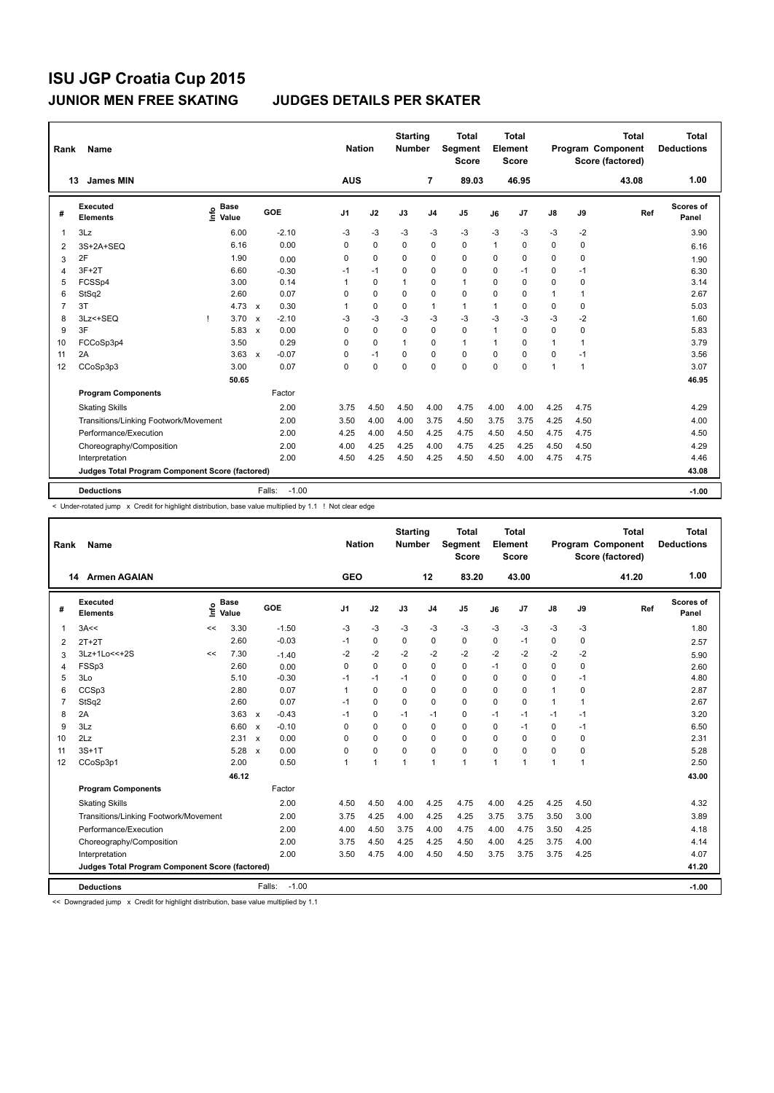| Rank           | Name                                            |                              |                                      | <b>Nation</b>  |             | <b>Starting</b><br><b>Number</b> |                | Total<br>Segment<br>Score |      | <b>Total</b><br>Element<br><b>Score</b> |               |              | <b>Total</b><br><b>Program Component</b><br>Score (factored) | Total<br><b>Deductions</b> |
|----------------|-------------------------------------------------|------------------------------|--------------------------------------|----------------|-------------|----------------------------------|----------------|---------------------------|------|-----------------------------------------|---------------|--------------|--------------------------------------------------------------|----------------------------|
|                | <b>James MIN</b><br>13                          |                              |                                      | <b>AUS</b>     |             |                                  | 7              | 89.03                     |      | 46.95                                   |               |              | 43.08                                                        | 1.00                       |
| #              | Executed<br><b>Elements</b>                     | <b>Base</b><br>lnfo<br>Value | GOE                                  | J <sub>1</sub> | J2          | J3                               | J <sub>4</sub> | J <sub>5</sub>            | J6   | J7                                      | $\mathsf{J}8$ | J9           | Ref                                                          | Scores of<br>Panel         |
| 1              | 3Lz                                             | 6.00                         | $-2.10$                              | -3             | $-3$        | $-3$                             | -3             | $-3$                      | $-3$ | $-3$                                    | $-3$          | $-2$         |                                                              | 3.90                       |
| 2              | 3S+2A+SEQ                                       | 6.16                         | 0.00                                 | $\Omega$       | $\Omega$    | $\Omega$                         | $\mathbf 0$    | $\Omega$                  | 1    | $\Omega$                                | 0             | 0            |                                                              | 6.16                       |
| 3              | 2F                                              | 1.90                         | 0.00                                 | $\Omega$       | $\Omega$    | 0                                | $\Omega$       | $\mathbf 0$               | 0    | $\Omega$                                | 0             | 0            |                                                              | 1.90                       |
| 4              | $3F+2T$                                         | 6.60                         | $-0.30$                              | $-1$           | $-1$        | 0                                | $\mathbf 0$    | $\mathbf 0$               | 0    | $-1$                                    | 0             | $-1$         |                                                              | 6.30                       |
| 5              | FCSSp4                                          | 3.00                         | 0.14                                 | 1              | $\mathbf 0$ | 1                                | $\mathbf 0$    | $\mathbf{1}$              | 0    | $\mathbf 0$                             | 0             | $\mathbf 0$  |                                                              | 3.14                       |
| 6              | StSq2                                           | 2.60                         | 0.07                                 | 0              | $\mathbf 0$ | 0                                | $\mathbf 0$    | $\mathbf 0$               | 0    | 0                                       | $\mathbf{1}$  | 1            |                                                              | 2.67                       |
| $\overline{7}$ | 3T                                              | 4.73                         | 0.30<br>$\mathsf{x}$                 | 1              | $\mathbf 0$ | $\mathbf 0$                      | $\mathbf{1}$   | $\mathbf{1}$              | 1    | 0                                       | 0             | $\mathbf 0$  |                                                              | 5.03                       |
| 8              | 3Lz <+SEQ                                       | 3.70                         | $-2.10$<br>$\boldsymbol{\mathsf{x}}$ | -3             | $-3$        | $-3$                             | $-3$           | $-3$                      | $-3$ | $-3$                                    | $-3$          | $-2$         |                                                              | 1.60                       |
| 9              | 3F                                              | 5.83                         | 0.00<br>$\boldsymbol{\mathsf{x}}$    | 0              | $\mathbf 0$ | $\mathbf 0$                      | 0              | $\mathbf 0$               | 1    | 0                                       | 0             | 0            |                                                              | 5.83                       |
| 10             | FCCoSp3p4                                       | 3.50                         | 0.29                                 | 0              | $\mathbf 0$ | $\mathbf{1}$                     | 0              | $\mathbf{1}$              | 1    | 0                                       | $\mathbf{1}$  | $\mathbf{1}$ |                                                              | 3.79                       |
| 11             | 2A                                              | 3.63                         | $-0.07$<br>$\mathbf{x}$              | 0              | $-1$        | $\Omega$                         | 0              | $\Omega$                  | 0    | $\Omega$                                | 0             | $-1$         |                                                              | 3.56                       |
| 12             | CCoSp3p3                                        | 3.00                         | 0.07                                 | $\Omega$       | 0           | 0                                | $\Omega$       | $\Omega$                  | 0    | 0                                       | 1             | $\mathbf{1}$ |                                                              | 3.07                       |
|                |                                                 | 50.65                        |                                      |                |             |                                  |                |                           |      |                                         |               |              |                                                              | 46.95                      |
|                | <b>Program Components</b>                       |                              | Factor                               |                |             |                                  |                |                           |      |                                         |               |              |                                                              |                            |
|                | <b>Skating Skills</b>                           |                              | 2.00                                 | 3.75           | 4.50        | 4.50                             | 4.00           | 4.75                      | 4.00 | 4.00                                    | 4.25          | 4.75         |                                                              | 4.29                       |
|                | Transitions/Linking Footwork/Movement           |                              | 2.00                                 | 3.50           | 4.00        | 4.00                             | 3.75           | 4.50                      | 3.75 | 3.75                                    | 4.25          | 4.50         |                                                              | 4.00                       |
|                | Performance/Execution                           |                              | 2.00                                 | 4.25           | 4.00        | 4.50                             | 4.25           | 4.75                      | 4.50 | 4.50                                    | 4.75          | 4.75         |                                                              | 4.50                       |
|                | Choreography/Composition                        |                              | 2.00                                 | 4.00           | 4.25        | 4.25                             | 4.00           | 4.75                      | 4.25 | 4.25                                    | 4.50          | 4.50         |                                                              | 4.29                       |
|                | Interpretation                                  |                              | 2.00                                 | 4.50           | 4.25        | 4.50                             | 4.25           | 4.50                      | 4.50 | 4.00                                    | 4.75          | 4.75         |                                                              | 4.46                       |
|                | Judges Total Program Component Score (factored) |                              |                                      |                |             |                                  |                |                           |      |                                         |               |              |                                                              | 43.08                      |
|                | <b>Deductions</b>                               |                              | $-1.00$<br>Falls:                    |                |             |                                  |                |                           |      |                                         |               |              |                                                              | $-1.00$                    |

< Under-rotated jump x Credit for highlight distribution, base value multiplied by 1.1 ! Not clear edge

| Rank | Name                                            |      |                      |                           |         | <b>Nation</b> |              | <b>Starting</b><br><b>Number</b> |                | <b>Total</b><br>Segment<br><b>Score</b> |                | <b>Total</b><br>Element<br><b>Score</b> |              |      | <b>Total</b><br>Program Component<br>Score (factored) | Total<br><b>Deductions</b> |
|------|-------------------------------------------------|------|----------------------|---------------------------|---------|---------------|--------------|----------------------------------|----------------|-----------------------------------------|----------------|-----------------------------------------|--------------|------|-------------------------------------------------------|----------------------------|
|      | 14 Armen AGAIAN                                 |      |                      |                           |         | <b>GEO</b>    |              |                                  | 12             | 83.20                                   |                | 43.00                                   |              |      | 41.20                                                 | 1.00                       |
| #    | Executed<br><b>Elements</b>                     | Life | <b>Base</b><br>Value | GOE                       |         | J1            | J2           | J3                               | J <sub>4</sub> | J <sub>5</sub>                          | J6             | J <sub>7</sub>                          | J8           | J9   | Ref                                                   | Scores of<br>Panel         |
| 1    | 3A<<                                            | <<   | 3.30                 |                           | $-1.50$ | $-3$          | $-3$         | $-3$                             | $-3$           | $-3$                                    | $-3$           | $-3$                                    | $-3$         | $-3$ |                                                       | 1.80                       |
| 2    | $2T+2T$                                         |      | 2.60                 |                           | $-0.03$ | $-1$          | 0            | $\Omega$                         | 0              | 0                                       | $\Omega$       | $-1$                                    | 0            | 0    |                                                       | 2.57                       |
| 3    | 3Lz+1Lo<<+2S                                    | <<   | 7.30                 |                           | $-1.40$ | $-2$          | $-2$         | $-2$                             | $-2$           | $-2$                                    | $-2$           | $-2$                                    | $-2$         | $-2$ |                                                       | 5.90                       |
| 4    | FSSp3                                           |      | 2.60                 |                           | 0.00    | 0             | 0            | 0                                | 0              | 0                                       | $-1$           | 0                                       | 0            | 0    |                                                       | 2.60                       |
| 5    | 3Lo                                             |      | 5.10                 |                           | $-0.30$ | $-1$          | $-1$         | $-1$                             | 0              | 0                                       | 0              | 0                                       | 0            | $-1$ |                                                       | 4.80                       |
| 6    | CCSp3                                           |      | 2.80                 |                           | 0.07    | $\mathbf{1}$  | $\mathbf 0$  | 0                                | 0              | 0                                       | 0              | $\mathbf 0$                             | 1            | 0    |                                                       | 2.87                       |
| 7    | StSq2                                           |      | 2.60                 |                           | 0.07    | $-1$          | 0            | $\Omega$                         | 0              | 0                                       | 0              | 0                                       | $\mathbf{1}$ | 1    |                                                       | 2.67                       |
| 8    | 2A                                              |      | $3.63 \times$        |                           | $-0.43$ | $-1$          | 0            | $-1$                             | $-1$           | 0                                       | $-1$           | $-1$                                    | $-1$         | -1   |                                                       | 3.20                       |
| 9    | 3Lz                                             |      | 6.60                 | $\boldsymbol{\mathsf{x}}$ | $-0.10$ | 0             | 0            | 0                                | 0              | 0                                       | 0              | $-1$                                    | 0            | -1   |                                                       | 6.50                       |
| 10   | 2Lz                                             |      | 2.31 x               |                           | 0.00    | $\Omega$      | 0            | 0                                | 0              | 0                                       | 0              | 0                                       | 0            | 0    |                                                       | 2.31                       |
| 11   | $3S+1T$                                         |      | 5.28 x               |                           | 0.00    | 0             | $\mathbf 0$  | $\Omega$                         | 0              | 0                                       | 0              | 0                                       | 0            | 0    |                                                       | 5.28                       |
| 12   | CCoSp3p1                                        |      | 2.00                 |                           | 0.50    |               | $\mathbf{1}$ | $\overline{1}$                   | 1              | 1                                       | $\overline{1}$ | $\overline{1}$                          | 1            | 1    |                                                       | 2.50                       |
|      |                                                 |      | 46.12                |                           |         |               |              |                                  |                |                                         |                |                                         |              |      |                                                       | 43.00                      |
|      | <b>Program Components</b>                       |      |                      |                           | Factor  |               |              |                                  |                |                                         |                |                                         |              |      |                                                       |                            |
|      | <b>Skating Skills</b>                           |      |                      |                           | 2.00    | 4.50          | 4.50         | 4.00                             | 4.25           | 4.75                                    | 4.00           | 4.25                                    | 4.25         | 4.50 |                                                       | 4.32                       |
|      | Transitions/Linking Footwork/Movement           |      |                      |                           | 2.00    | 3.75          | 4.25         | 4.00                             | 4.25           | 4.25                                    | 3.75           | 3.75                                    | 3.50         | 3.00 |                                                       | 3.89                       |
|      | Performance/Execution                           |      |                      |                           | 2.00    | 4.00          | 4.50         | 3.75                             | 4.00           | 4.75                                    | 4.00           | 4.75                                    | 3.50         | 4.25 |                                                       | 4.18                       |
|      | Choreography/Composition                        |      |                      |                           | 2.00    | 3.75          | 4.50         | 4.25                             | 4.25           | 4.50                                    | 4.00           | 4.25                                    | 3.75         | 4.00 |                                                       | 4.14                       |
|      | Interpretation                                  |      |                      |                           | 2.00    | 3.50          | 4.75         | 4.00                             | 4.50           | 4.50                                    | 3.75           | 3.75                                    | 3.75         | 4.25 |                                                       | 4.07                       |
|      | Judges Total Program Component Score (factored) |      |                      |                           |         |               |              |                                  |                |                                         |                |                                         |              |      |                                                       | 41.20                      |
|      | <b>Deductions</b>                               |      |                      | Falls:                    | $-1.00$ |               |              |                                  |                |                                         |                |                                         |              |      |                                                       | $-1.00$                    |

<< Downgraded jump x Credit for highlight distribution, base value multiplied by 1.1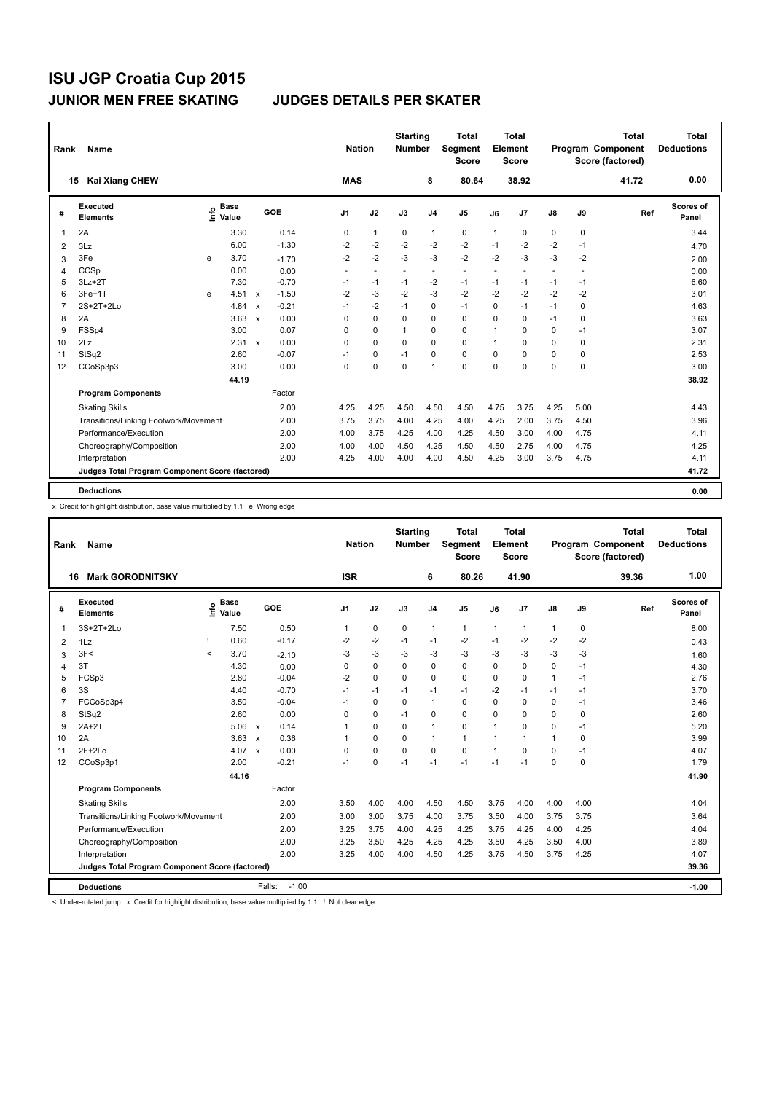| Name                        |            |        |                                                                           |         |                                                        |                          |                             |                          | Total<br><b>Score</b>            |                                         |                          |                                          |                          | <b>Total</b> | <b>Total</b><br><b>Deductions</b>             |
|-----------------------------|------------|--------|---------------------------------------------------------------------------|---------|--------------------------------------------------------|--------------------------|-----------------------------|--------------------------|----------------------------------|-----------------------------------------|--------------------------|------------------------------------------|--------------------------|--------------|-----------------------------------------------|
| <b>Kai Xiang CHEW</b>       |            |        |                                                                           |         |                                                        |                          |                             | 8                        | 80.64                            |                                         | 38.92                    |                                          |                          | 41.72        | 0.00                                          |
| Executed<br><b>Elements</b> |            |        |                                                                           |         | J <sub>1</sub>                                         | J2                       | J3                          | J <sub>4</sub>           | J <sub>5</sub>                   | J6                                      | J <sub>7</sub>           | $\mathsf{J}8$                            | J9                       | Ref          | Scores of<br>Panel                            |
| 2A                          |            | 3.30   |                                                                           | 0.14    | 0                                                      | $\mathbf{1}$             | 0                           | $\mathbf{1}$             | 0                                | $\mathbf{1}$                            | 0                        | 0                                        | $\mathbf 0$              |              | 3.44                                          |
| 3Lz                         |            | 6.00   |                                                                           | $-1.30$ | $-2$                                                   | $-2$                     | $-2$                        | $-2$                     | $-2$                             | $-1$                                    | $-2$                     | $-2$                                     | $-1$                     |              | 4.70                                          |
| 3Fe                         |            | 3.70   |                                                                           | $-1.70$ | $-2$                                                   | $-2$                     | $-3$                        | $-3$                     | $-2$                             | $-2$                                    | $-3$                     | $-3$                                     | $-2$                     |              | 2.00                                          |
| CCSp                        |            | 0.00   |                                                                           | 0.00    | $\sim$                                                 | $\overline{\phantom{a}}$ |                             | $\overline{\phantom{a}}$ | $\overline{\phantom{a}}$         | $\blacksquare$                          | $\overline{\phantom{a}}$ | $\overline{\phantom{a}}$                 | $\overline{\phantom{a}}$ |              | 0.00                                          |
| $3Lz + 2T$                  |            | 7.30   |                                                                           | $-0.70$ | $-1$                                                   | $-1$                     | $-1$                        | $-2$                     | $-1$                             | $-1$                                    | $-1$                     | $-1$                                     | $-1$                     |              | 6.60                                          |
| $3Fe+1T$                    |            | 4.51   | $\boldsymbol{\mathsf{x}}$                                                 | $-1.50$ | $-2$                                                   | $-3$                     | $-2$                        | $-3$                     | $-2$                             | $-2$                                    | $-2$                     | $-2$                                     | $-2$                     |              | 3.01                                          |
| 2S+2T+2Lo                   |            | 4.84   | $\boldsymbol{\mathsf{x}}$                                                 | $-0.21$ | $-1$                                                   | $-2$                     | $-1$                        | 0                        | $-1$                             | $\Omega$                                | $-1$                     | $-1$                                     | 0                        |              | 4.63                                          |
| 2A                          |            | 3.63   | $\mathbf{x}$                                                              | 0.00    | $\Omega$                                               | $\Omega$                 | $\Omega$                    | $\Omega$                 | 0                                | $\Omega$                                | $\mathbf 0$              | $-1$                                     | $\mathbf 0$              |              | 3.63                                          |
| FSSp4                       |            | 3.00   |                                                                           | 0.07    | $\Omega$                                               | $\mathbf 0$              | 1                           | $\Omega$                 | 0                                | $\overline{1}$                          | 0                        | 0                                        | $-1$                     |              | 3.07                                          |
| 2Lz                         |            |        | $\mathsf{x}$                                                              | 0.00    | $\Omega$                                               | $\mathbf 0$              | $\Omega$                    | $\Omega$                 | 0                                | $\mathbf{1}$                            | $\mathbf 0$              | 0                                        | 0                        |              | 2.31                                          |
| StSq2                       |            | 2.60   |                                                                           | $-0.07$ | $-1$                                                   | 0                        | $-1$                        | 0                        | 0                                | 0                                       | $\mathbf 0$              | 0                                        | $\mathbf 0$              |              | 2.53                                          |
| CCoSp3p3                    |            | 3.00   |                                                                           | 0.00    | $\Omega$                                               | $\Omega$                 | $\Omega$                    | $\mathbf{1}$             | 0                                | $\Omega$                                | $\Omega$                 | $\Omega$                                 | $\Omega$                 |              | 3.00                                          |
|                             |            | 44.19  |                                                                           |         |                                                        |                          |                             |                          |                                  |                                         |                          |                                          |                          |              | 38.92                                         |
| <b>Program Components</b>   |            |        |                                                                           | Factor  |                                                        |                          |                             |                          |                                  |                                         |                          |                                          |                          |              |                                               |
| <b>Skating Skills</b>       |            |        |                                                                           | 2.00    | 4.25                                                   | 4.25                     | 4.50                        |                          | 4.50                             |                                         | 3.75                     | 4.25                                     |                          |              | 4.43                                          |
|                             |            |        |                                                                           | 2.00    | 3.75                                                   | 3.75                     | 4.00                        | 4.25                     | 4.00                             | 4.25                                    | 2.00                     | 3.75                                     | 4.50                     |              | 3.96                                          |
| Performance/Execution       |            |        |                                                                           | 2.00    | 4.00                                                   | 3.75                     | 4.25                        |                          | 4.25                             | 4.50                                    | 3.00                     | 4.00                                     | 4.75                     |              | 4.11                                          |
| Choreography/Composition    |            |        |                                                                           | 2.00    | 4.00                                                   | 4.00                     | 4.50                        |                          | 4.50                             | 4.50                                    | 2.75                     | 4.00                                     | 4.75                     |              | 4.25                                          |
| Interpretation              |            |        |                                                                           | 2.00    | 4.25                                                   | 4.00                     | 4.00                        |                          | 4.50                             | 4.25                                    | 3.00                     | 3.75                                     | 4.75                     |              | 4.11                                          |
|                             |            |        |                                                                           |         |                                                        |                          |                             |                          |                                  |                                         |                          |                                          |                          |              | 41.72                                         |
| <b>Deductions</b>           |            |        |                                                                           |         |                                                        |                          |                             |                          |                                  |                                         |                          |                                          |                          |              | 0.00                                          |
|                             | Rank<br>15 | e<br>e | <b>Base</b><br>e Base<br>⊆ Value<br>Transitions/Linking Footwork/Movement | 2.31    | GOE<br>Judges Total Program Component Score (factored) |                          | <b>Nation</b><br><b>MAS</b> |                          | <b>Starting</b><br><b>Number</b> | Segment<br>4.50<br>4.00<br>4.25<br>4.00 |                          | Total<br>Element<br><b>Score</b><br>4.75 |                          |              | Program Component<br>Score (factored)<br>5.00 |

x Credit for highlight distribution, base value multiplied by 1.1 e Wrong edge

| Rank           | <b>Name</b>                                     |       |                      |              |                   | <b>Nation</b>  |             | <b>Starting</b><br><b>Number</b> |                | <b>Total</b><br>Segment<br><b>Score</b> |                | Total<br>Element<br><b>Score</b> |               |          | <b>Total</b><br>Program Component<br>Score (factored) | <b>Total</b><br><b>Deductions</b> |
|----------------|-------------------------------------------------|-------|----------------------|--------------|-------------------|----------------|-------------|----------------------------------|----------------|-----------------------------------------|----------------|----------------------------------|---------------|----------|-------------------------------------------------------|-----------------------------------|
| 16             | <b>Mark GORODNITSKY</b>                         |       |                      |              |                   | <b>ISR</b>     |             |                                  | 6              | 80.26                                   |                | 41.90                            |               |          | 39.36                                                 | 1.00                              |
| #              | Executed<br><b>Elements</b>                     | lnfo  | <b>Base</b><br>Value |              | GOE               | J <sub>1</sub> | J2          | J3                               | J <sub>4</sub> | J <sub>5</sub>                          | J6             | J7                               | $\mathsf{J}8$ | J9       | Ref                                                   | Scores of<br>Panel                |
| $\mathbf{1}$   | 3S+2T+2Lo                                       |       | 7.50                 |              | 0.50              | 1              | 0           | 0                                | $\mathbf{1}$   | $\mathbf{1}$                            | $\mathbf{1}$   | 1                                | $\mathbf{1}$  | 0        |                                                       | 8.00                              |
| $\overline{2}$ | 1Lz                                             |       | 0.60                 |              | $-0.17$           | $-2$           | $-2$        | $-1$                             | -1             | $-2$                                    | $-1$           | $-2$                             | $-2$          | $-2$     |                                                       | 0.43                              |
| 3              | 3F<                                             | $\,<$ | 3.70                 |              | $-2.10$           | -3             | $-3$        | -3                               | $-3$           | $-3$                                    | $-3$           | $-3$                             | $-3$          | $-3$     |                                                       | 1.60                              |
| $\overline{4}$ | 3T                                              |       | 4.30                 |              | 0.00              | 0              | 0           | $\Omega$                         | 0              | $\mathbf 0$                             | $\Omega$       | 0                                | $\mathbf 0$   | $-1$     |                                                       | 4.30                              |
| 5              | FCSp3                                           |       | 2.80                 |              | $-0.04$           | $-2$           | $\mathbf 0$ | $\Omega$                         | $\mathbf 0$    | $\mathbf 0$                             | $\mathbf 0$    | $\Omega$                         | $\mathbf{1}$  | $-1$     |                                                       | 2.76                              |
| 6              | 3S                                              |       | 4.40                 |              | $-0.70$           | $-1$           | $-1$        | $-1$                             | $-1$           | $-1$                                    | $-2$           | $-1$                             | $-1$          | $-1$     |                                                       | 3.70                              |
| $\overline{7}$ | FCCoSp3p4                                       |       | 3.50                 |              | $-0.04$           | $-1$           | 0           | 0                                | $\overline{1}$ | $\mathbf 0$                             | $\Omega$       | 0                                | $\mathbf 0$   | $-1$     |                                                       | 3.46                              |
| 8              | StSq2                                           |       | 2.60                 |              | 0.00              | 0              | $\mathbf 0$ | $-1$                             | 0              | $\mathbf 0$                             | $\mathbf 0$    | $\Omega$                         | 0             | 0        |                                                       | 2.60                              |
| 9              | $2A+2T$                                         |       | 5.06                 | $\mathbf{x}$ | 0.14              | 1              | $\Omega$    | $\Omega$                         | $\mathbf{1}$   | $\Omega$                                | $\overline{1}$ | 0                                | 0             | $-1$     |                                                       | 5.20                              |
| 10             | 2A                                              |       | 3.63                 | $\mathbf{x}$ | 0.36              | 1              | $\Omega$    | $\Omega$                         | $\overline{1}$ | $\mathbf{1}$                            | 1              | $\overline{1}$                   | $\mathbf{1}$  | 0        |                                                       | 3.99                              |
| 11             | $2F+2Lo$                                        |       | 4.07                 | $\mathsf{x}$ | 0.00              | 0              | $\mathbf 0$ | $\mathbf 0$                      | $\mathbf 0$    | $\mathbf 0$                             | $\mathbf{1}$   | $\Omega$                         | 0             | $-1$     |                                                       | 4.07                              |
| 12             | CCoSp3p1                                        |       | 2.00                 |              | $-0.21$           | $-1$           | $\mathbf 0$ | $-1$                             | -1             | $-1$                                    | $-1$           | $-1$                             | $\Omega$      | $\Omega$ |                                                       | 1.79                              |
|                |                                                 |       | 44.16                |              |                   |                |             |                                  |                |                                         |                |                                  |               |          |                                                       | 41.90                             |
|                | <b>Program Components</b>                       |       |                      |              | Factor            |                |             |                                  |                |                                         |                |                                  |               |          |                                                       |                                   |
|                | <b>Skating Skills</b>                           |       |                      |              | 2.00              | 3.50           | 4.00        | 4.00                             | 4.50           | 4.50                                    | 3.75           | 4.00                             | 4.00          | 4.00     |                                                       | 4.04                              |
|                | Transitions/Linking Footwork/Movement           |       |                      |              | 2.00              | 3.00           | 3.00        | 3.75                             | 4.00           | 3.75                                    | 3.50           | 4.00                             | 3.75          | 3.75     |                                                       | 3.64                              |
|                | Performance/Execution                           |       |                      |              | 2.00              | 3.25           | 3.75        | 4.00                             | 4.25           | 4.25                                    | 3.75           | 4.25                             | 4.00          | 4.25     |                                                       | 4.04                              |
|                | Choreography/Composition                        |       |                      |              | 2.00              | 3.25           | 3.50        | 4.25                             | 4.25           | 4.25                                    | 3.50           | 4.25                             | 3.50          | 4.00     |                                                       | 3.89                              |
|                | Interpretation                                  |       |                      |              | 2.00              | 3.25           | 4.00        | 4.00                             | 4.50           | 4.25                                    | 3.75           | 4.50                             | 3.75          | 4.25     |                                                       | 4.07                              |
|                | Judges Total Program Component Score (factored) |       |                      |              |                   |                |             |                                  |                |                                         |                |                                  |               |          |                                                       | 39.36                             |
|                | <b>Deductions</b>                               |       |                      |              | $-1.00$<br>Falls: |                |             |                                  |                |                                         |                |                                  |               |          |                                                       | $-1.00$                           |

< Under-rotated jump x Credit for highlight distribution, base value multiplied by 1.1 ! Not clear edge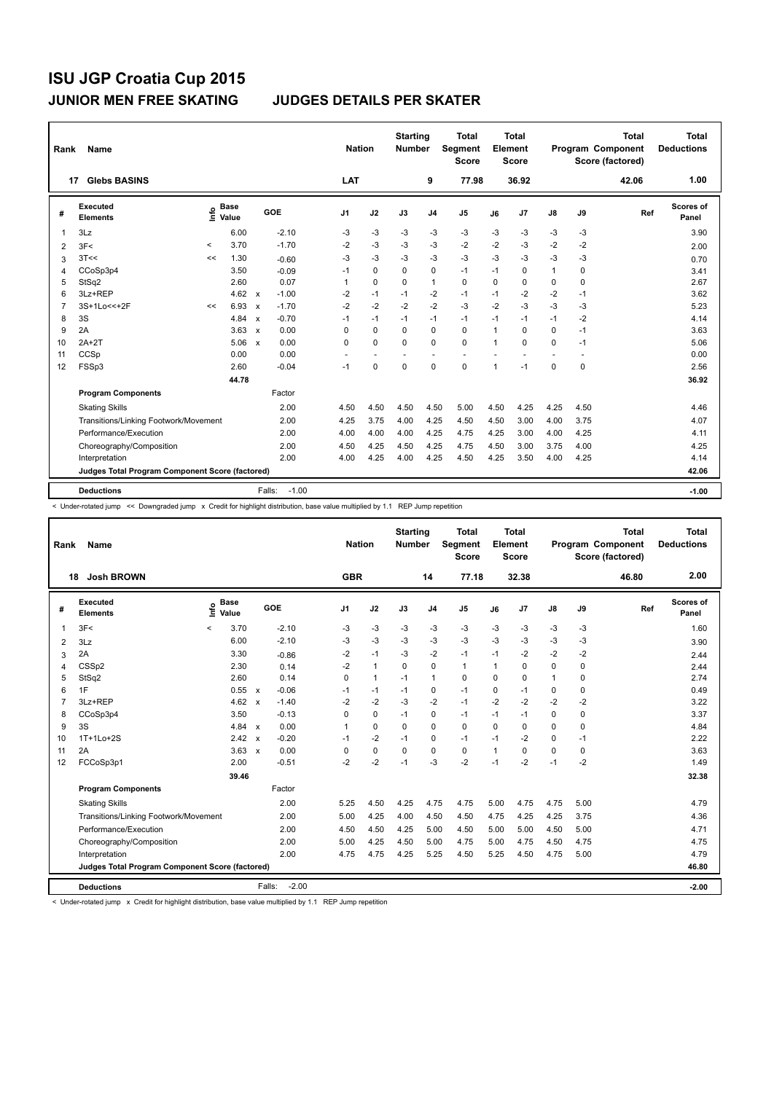| Rank           | Name                                            |         |                      |                           |                   | <b>Nation</b>  |             | <b>Starting</b><br><b>Number</b> |                | <b>Total</b><br>Segment<br><b>Score</b> |              | <b>Total</b><br>Element<br><b>Score</b> |                          |             | <b>Total</b><br><b>Program Component</b><br>Score (factored) | <b>Total</b><br><b>Deductions</b> |
|----------------|-------------------------------------------------|---------|----------------------|---------------------------|-------------------|----------------|-------------|----------------------------------|----------------|-----------------------------------------|--------------|-----------------------------------------|--------------------------|-------------|--------------------------------------------------------------|-----------------------------------|
|                | <b>Glebs BASINS</b><br>17                       |         |                      |                           |                   | LAT            |             |                                  | 9              | 77.98                                   |              | 36.92                                   |                          |             | 42.06                                                        | 1.00                              |
| #              | Executed<br><b>Elements</b>                     | lnfo    | <b>Base</b><br>Value |                           | GOE               | J <sub>1</sub> | J2          | J3                               | J <sub>4</sub> | J <sub>5</sub>                          | J6           | J7                                      | $\mathsf{J}8$            | J9          | Ref                                                          | Scores of<br>Panel                |
| 1              | 3Lz                                             |         | 6.00                 |                           | $-2.10$           | -3             | $-3$        | $-3$                             | -3             | $-3$                                    | $-3$         | $-3$                                    | $-3$                     | $-3$        |                                                              | 3.90                              |
| 2              | 3F<                                             | $\prec$ | 3.70                 |                           | $-1.70$           | $-2$           | $-3$        | $-3$                             | $-3$           | $-2$                                    | $-2$         | $-3$                                    | $-2$                     | $-2$        |                                                              | 2.00                              |
| 3              | 3T<<                                            | <<      | 1.30                 |                           | $-0.60$           | -3             | $-3$        | $-3$                             | $-3$           | $-3$                                    | $-3$         | $-3$                                    | $-3$                     | $-3$        |                                                              | 0.70                              |
| 4              | CCoSp3p4                                        |         | 3.50                 |                           | $-0.09$           | $-1$           | 0           | $\Omega$                         | 0              | $-1$                                    | $-1$         | 0                                       | $\mathbf{1}$             | 0           |                                                              | 3.41                              |
| 5              | StSq2                                           |         | 2.60                 |                           | 0.07              | 1              | $\mathbf 0$ | 0                                | $\mathbf{1}$   | $\mathbf 0$                             | 0            | 0                                       | 0                        | 0           |                                                              | 2.67                              |
| 6              | 3Lz+REP                                         |         | 4.62 $\times$        |                           | $-1.00$           | $-2$           | $-1$        | $-1$                             | $-2$           | $-1$                                    | $-1$         | $-2$                                    | $-2$                     | $-1$        |                                                              | 3.62                              |
| $\overline{7}$ | 3S+1Lo<<+2F                                     | <<      | 6.93                 | $\mathsf{x}$              | $-1.70$           | $-2$           | $-2$        | $-2$                             | $-2$           | $-3$                                    | $-2$         | $-3$                                    | $-3$                     | $-3$        |                                                              | 5.23                              |
| 8              | 3S                                              |         | 4.84                 | $\boldsymbol{\mathsf{x}}$ | $-0.70$           | $-1$           | $-1$        | $-1$                             | $-1$           | $-1$                                    | $-1$         | $-1$                                    | $-1$                     | $-2$        |                                                              | 4.14                              |
| 9              | 2A                                              |         | 3.63                 | $\boldsymbol{\mathsf{x}}$ | 0.00              | 0              | $\mathbf 0$ | $\mathbf 0$                      | $\mathbf 0$    | 0                                       | 1            | $\mathbf 0$                             | 0                        | $-1$        |                                                              | 3.63                              |
| 10             | $2A+2T$                                         |         | 5.06                 | $\mathsf{x}$              | 0.00              | $\Omega$       | $\Omega$    | $\Omega$                         | $\Omega$       | $\Omega$                                | $\mathbf{1}$ | $\Omega$                                | 0                        | $-1$        |                                                              | 5.06                              |
| 11             | CCSp                                            |         | 0.00                 |                           | 0.00              | ÷              |             |                                  | ÷              | $\sim$                                  |              |                                         | $\overline{\phantom{a}}$ | ٠           |                                                              | 0.00                              |
| 12             | FSSp3                                           |         | 2.60                 |                           | $-0.04$           | $-1$           | $\mathbf 0$ | $\mathbf 0$                      | $\mathbf 0$    | 0                                       | 1            | $-1$                                    | 0                        | $\mathbf 0$ |                                                              | 2.56                              |
|                |                                                 |         | 44.78                |                           |                   |                |             |                                  |                |                                         |              |                                         |                          |             |                                                              | 36.92                             |
|                | <b>Program Components</b>                       |         |                      |                           | Factor            |                |             |                                  |                |                                         |              |                                         |                          |             |                                                              |                                   |
|                | <b>Skating Skills</b>                           |         |                      |                           | 2.00              | 4.50           | 4.50        | 4.50                             | 4.50           | 5.00                                    | 4.50         | 4.25                                    | 4.25                     | 4.50        |                                                              | 4.46                              |
|                | Transitions/Linking Footwork/Movement           |         |                      |                           | 2.00              | 4.25           | 3.75        | 4.00                             | 4.25           | 4.50                                    | 4.50         | 3.00                                    | 4.00                     | 3.75        |                                                              | 4.07                              |
|                | Performance/Execution                           |         |                      |                           | 2.00              | 4.00           | 4.00        | 4.00                             | 4.25           | 4.75                                    | 4.25         | 3.00                                    | 4.00                     | 4.25        |                                                              | 4.11                              |
|                | Choreography/Composition                        |         |                      |                           | 2.00              | 4.50           | 4.25        | 4.50                             | 4.25           | 4.75                                    | 4.50         | 3.00                                    | 3.75                     | 4.00        |                                                              | 4.25                              |
|                | Interpretation                                  |         |                      |                           | 2.00              | 4.00           | 4.25        | 4.00                             | 4.25           | 4.50                                    | 4.25         | 3.50                                    | 4.00                     | 4.25        |                                                              | 4.14                              |
|                | Judges Total Program Component Score (factored) |         |                      |                           |                   |                |             |                                  |                |                                         |              |                                         |                          |             |                                                              | 42.06                             |
|                |                                                 |         |                      |                           |                   |                |             |                                  |                |                                         |              |                                         |                          |             |                                                              |                                   |
|                | <b>Deductions</b>                               |         |                      |                           | $-1.00$<br>Falls: |                |             |                                  |                |                                         |              |                                         |                          |             |                                                              | $-1.00$                           |

< Under-rotated jump << Downgraded jump x Credit for highlight distribution, base value multiplied by 1.1 REP Jump repetition

| Rank | <b>Name</b>                                     |         |                      |                                      |         | <b>Nation</b>  |              | <b>Starting</b><br><b>Number</b> |                | <b>Total</b><br>Segment<br><b>Score</b> |              | <b>Total</b><br>Element<br><b>Score</b> |               |          | <b>Total</b><br>Program Component<br>Score (factored) | <b>Total</b><br><b>Deductions</b> |
|------|-------------------------------------------------|---------|----------------------|--------------------------------------|---------|----------------|--------------|----------------------------------|----------------|-----------------------------------------|--------------|-----------------------------------------|---------------|----------|-------------------------------------------------------|-----------------------------------|
|      | <b>Josh BROWN</b><br>18                         |         |                      |                                      |         | <b>GBR</b>     |              |                                  | 14             | 77.18                                   |              | 32.38                                   |               |          | 46.80                                                 | 2.00                              |
| #    | <b>Executed</b><br><b>Elements</b>              | Linfo   | <b>Base</b><br>Value | GOE                                  |         | J <sub>1</sub> | J2           | J3                               | J <sub>4</sub> | J <sub>5</sub>                          | J6           | J7                                      | $\mathsf{J}8$ | J9       | Ref                                                   | <b>Scores of</b><br>Panel         |
| 1    | 3F<                                             | $\prec$ | 3.70                 | $-2.10$                              |         | -3             | $-3$         | $-3$                             | $-3$           | $-3$                                    | $-3$         | $-3$                                    | $-3$          | $-3$     |                                                       | 1.60                              |
| 2    | 3Lz                                             |         | 6.00                 | $-2.10$                              |         | $-3$           | $-3$         | -3                               | $-3$           | $-3$                                    | $-3$         | $-3$                                    | $-3$          | $-3$     |                                                       | 3.90                              |
| 3    | 2A                                              |         | 3.30                 | $-0.86$                              |         | $-2$           | $-1$         | -3                               | $-2$           | $-1$                                    | $-1$         | $-2$                                    | $-2$          | $-2$     |                                                       | 2.44                              |
| 4    | CSSp2                                           |         | 2.30                 | 0.14                                 |         | $-2$           | $\mathbf{1}$ | $\Omega$                         | $\mathbf 0$    | $\mathbf{1}$                            | $\mathbf{1}$ | $\Omega$                                | 0             | 0        |                                                       | 2.44                              |
| 5    | StSq2                                           |         | 2.60                 | 0.14                                 |         | 0              | $\mathbf{1}$ | $-1$                             | $\mathbf{1}$   | 0                                       | $\mathbf 0$  | 0                                       | $\mathbf{1}$  | 0        |                                                       | 2.74                              |
| 6    | 1F                                              |         | 0.55 x               | $-0.06$                              |         | $-1$           | $-1$         | $-1$                             | $\mathbf 0$    | $-1$                                    | $\Omega$     | $-1$                                    | 0             | $\Omega$ |                                                       | 0.49                              |
| 7    | 3Lz+REP                                         |         | 4.62                 | $-1.40$<br>$\mathbf{x}$              |         | $-2$           | $-2$         | $-3$                             | $-2$           | $-1$                                    | $-2$         | $-2$                                    | $-2$          | $-2$     |                                                       | 3.22                              |
| 8    | CCoSp3p4                                        |         | 3.50                 | $-0.13$                              |         | $\Omega$       | 0            | $-1$                             | 0              | $-1$                                    | $-1$         | $-1$                                    | 0             | 0        |                                                       | 3.37                              |
| 9    | 3S                                              |         | 4.84 $\times$        | 0.00                                 |         | 1              | $\Omega$     | $\Omega$                         | 0              | 0                                       | $\Omega$     | $\Omega$                                | 0             | 0        |                                                       | 4.84                              |
| 10   | $1T+1Lo+2S$                                     |         | 2.42                 | $-0.20$<br>$\boldsymbol{\mathsf{x}}$ |         | $-1$           | $-2$         | $-1$                             | 0              | $-1$                                    | $-1$         | $-2$                                    | 0             | $-1$     |                                                       | 2.22                              |
| 11   | 2A                                              |         | 3.63                 | 0.00<br>$\mathsf{x}$                 |         | $\Omega$       | $\mathbf 0$  | $\Omega$                         | 0              | 0                                       | 1            | $\Omega$                                | $\mathbf 0$   | 0        |                                                       | 3.63                              |
| 12   | FCCoSp3p1                                       |         | 2.00                 | $-0.51$                              |         | $-2$           | $-2$         | $-1$                             | $-3$           | $-2$                                    | $-1$         | $-2$                                    | $-1$          | $-2$     |                                                       | 1.49                              |
|      |                                                 |         | 39.46                |                                      |         |                |              |                                  |                |                                         |              |                                         |               |          |                                                       | 32.38                             |
|      | <b>Program Components</b>                       |         |                      | Factor                               |         |                |              |                                  |                |                                         |              |                                         |               |          |                                                       |                                   |
|      | <b>Skating Skills</b>                           |         |                      | 2.00                                 |         | 5.25           | 4.50         | 4.25                             | 4.75           | 4.75                                    | 5.00         | 4.75                                    | 4.75          | 5.00     |                                                       | 4.79                              |
|      | Transitions/Linking Footwork/Movement           |         |                      | 2.00                                 |         | 5.00           | 4.25         | 4.00                             | 4.50           | 4.50                                    | 4.75         | 4.25                                    | 4.25          | 3.75     |                                                       | 4.36                              |
|      | Performance/Execution                           |         |                      | 2.00                                 |         | 4.50           | 4.50         | 4.25                             | 5.00           | 4.50                                    | 5.00         | 5.00                                    | 4.50          | 5.00     |                                                       | 4.71                              |
|      | Choreography/Composition                        |         |                      | 2.00                                 |         | 5.00           | 4.25         | 4.50                             | 5.00           | 4.75                                    | 5.00         | 4.75                                    | 4.50          | 4.75     |                                                       | 4.75                              |
|      | Interpretation                                  |         |                      | 2.00                                 |         | 4.75           | 4.75         | 4.25                             | 5.25           | 4.50                                    | 5.25         | 4.50                                    | 4.75          | 5.00     |                                                       | 4.79                              |
|      | Judges Total Program Component Score (factored) |         |                      |                                      |         |                |              |                                  |                |                                         |              |                                         |               |          |                                                       | 46.80                             |
|      | <b>Deductions</b>                               |         |                      | Falls:                               | $-2.00$ |                |              |                                  |                |                                         |              |                                         |               |          |                                                       | $-2.00$                           |

-<br>< Under-rotated jump x Credit for highlight distribution, base value multiplied by 1.1 REP Jump repetition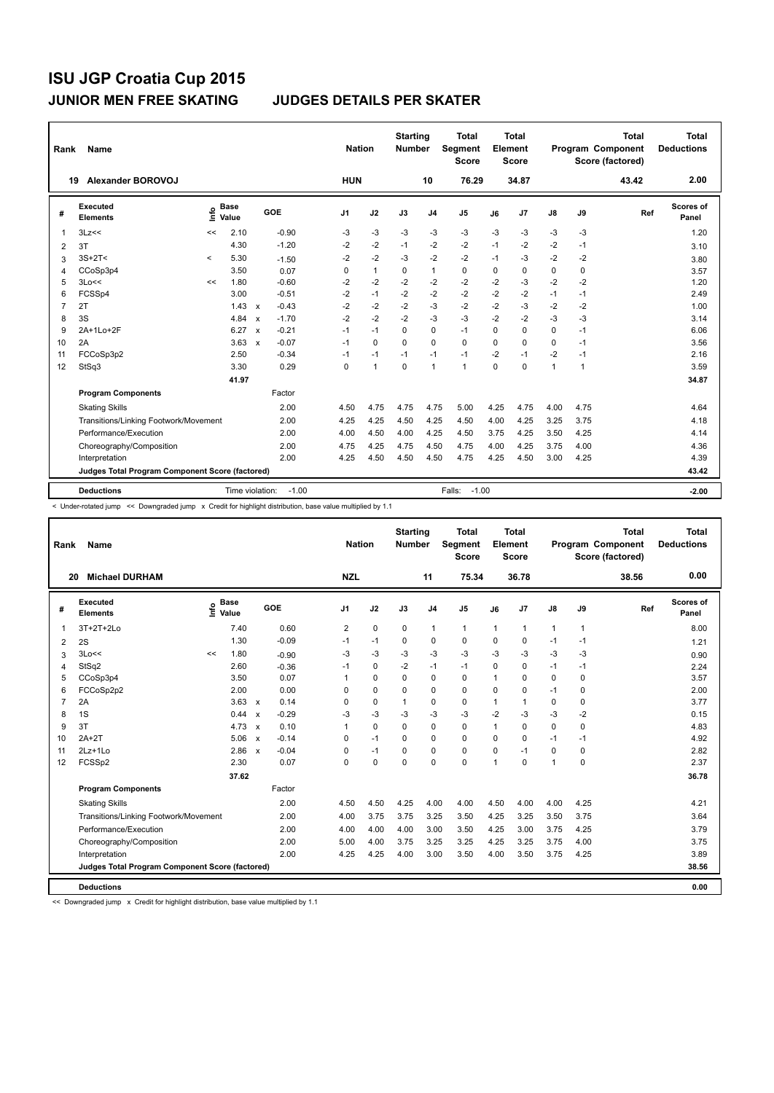| Rank           | Name                                            |         |                      |                           |         |                | <b>Nation</b> | <b>Starting</b><br><b>Number</b> |                | <b>Total</b><br>Segment<br><b>Score</b> |          | <b>Total</b><br>Element<br><b>Score</b> |                |              | <b>Total</b><br><b>Program Component</b><br>Score (factored) | <b>Total</b><br><b>Deductions</b> |
|----------------|-------------------------------------------------|---------|----------------------|---------------------------|---------|----------------|---------------|----------------------------------|----------------|-----------------------------------------|----------|-----------------------------------------|----------------|--------------|--------------------------------------------------------------|-----------------------------------|
|                | Alexander BOROVOJ<br>19                         |         |                      |                           |         | <b>HUN</b>     |               |                                  | 10             | 76.29                                   |          | 34.87                                   |                |              | 43.42                                                        | 2.00                              |
| #              | Executed<br><b>Elements</b>                     | lnfo    | <b>Base</b><br>Value |                           | GOE     | J <sub>1</sub> | J2            | J3                               | J <sub>4</sub> | J5                                      | J6       | J7                                      | J8             | J9           | Ref                                                          | Scores of<br>Panel                |
| $\overline{1}$ | 3Lz<<                                           | <<      | 2.10                 |                           | $-0.90$ | -3             | -3            | -3                               | $-3$           | $-3$                                    | -3       | -3                                      | -3             | -3           |                                                              | 1.20                              |
| 2              | 3T                                              |         | 4.30                 |                           | $-1.20$ | -2             | -2            | $-1$                             | $-2$           | -2                                      | $-1$     | $-2$                                    | -2             | $-1$         |                                                              | 3.10                              |
| 3              | $3S+2T<$                                        | $\prec$ | 5.30                 |                           | $-1.50$ | $-2$           | $-2$          | $-3$                             | $-2$           | $-2$                                    | $-1$     | $-3$                                    | $-2$           | $-2$         |                                                              | 3.80                              |
| 4              | CCoSp3p4                                        |         | 3.50                 |                           | 0.07    | 0              | $\mathbf{1}$  | 0                                | $\mathbf{1}$   | 0                                       | 0        | $\mathbf 0$                             | $\mathbf 0$    | $\mathbf 0$  |                                                              | 3.57                              |
| 5              | 3Lo<<                                           | <<      | 1.80                 |                           | $-0.60$ | $-2$           | $-2$          | $-2$                             | $-2$           | $-2$                                    | $-2$     | $-3$                                    | $-2$           | $-2$         |                                                              | 1.20                              |
| 6              | FCSSp4                                          |         | 3.00                 |                           | $-0.51$ | $-2$           | $-1$          | $-2$                             | $-2$           | $-2$                                    | $-2$     | $-2$                                    | $-1$           | $-1$         |                                                              | 2.49                              |
| $\overline{7}$ | 2T                                              |         | 1.43                 | $\mathbf{x}$              | $-0.43$ | $-2$           | $-2$          | $-2$                             | $-3$           | $-2$                                    | $-2$     | $-3$                                    | $-2$           | $-2$         |                                                              | 1.00                              |
| 8              | 3S                                              |         | 4.84                 | $\boldsymbol{\mathsf{x}}$ | $-1.70$ | $-2$           | $-2$          | $-2$                             | $-3$           | $-3$                                    | $-2$     | $-2$                                    | $-3$           | $-3$         |                                                              | 3.14                              |
| 9              | 2A+1Lo+2F                                       |         | 6.27                 | $\boldsymbol{\mathsf{x}}$ | $-0.21$ | $-1$           | $-1$          | $\mathbf 0$                      | $\mathbf 0$    | $-1$                                    | $\Omega$ | $\mathbf 0$                             | $\mathbf 0$    | $-1$         |                                                              | 6.06                              |
| 10             | 2A                                              |         | 3.63                 | $\mathbf{x}$              | $-0.07$ | $-1$           | $\Omega$      | $\Omega$                         | $\Omega$       | $\Omega$                                | $\Omega$ | $\Omega$                                | $\Omega$       | $-1$         |                                                              | 3.56                              |
| 11             | FCCoSp3p2                                       |         | 2.50                 |                           | $-0.34$ | $-1$           | $-1$          | $-1$                             | $-1$           | $-1$                                    | $-2$     | $-1$                                    | $-2$           | $-1$         |                                                              | 2.16                              |
| 12             | StSq3                                           |         | 3.30                 |                           | 0.29    | 0              | $\mathbf{1}$  | $\Omega$                         | 1              | $\mathbf{1}$                            | $\Omega$ | $\mathbf 0$                             | $\overline{1}$ | $\mathbf{1}$ |                                                              | 3.59                              |
|                |                                                 |         | 41.97                |                           |         |                |               |                                  |                |                                         |          |                                         |                |              |                                                              | 34.87                             |
|                | <b>Program Components</b>                       |         |                      |                           | Factor  |                |               |                                  |                |                                         |          |                                         |                |              |                                                              |                                   |
|                | <b>Skating Skills</b>                           |         |                      |                           | 2.00    | 4.50           | 4.75          | 4.75                             | 4.75           | 5.00                                    | 4.25     | 4.75                                    | 4.00           | 4.75         |                                                              | 4.64                              |
|                | Transitions/Linking Footwork/Movement           |         |                      |                           | 2.00    | 4.25           | 4.25          | 4.50                             | 4.25           | 4.50                                    | 4.00     | 4.25                                    | 3.25           | 3.75         |                                                              | 4.18                              |
|                | Performance/Execution                           |         |                      |                           | 2.00    | 4.00           | 4.50          | 4.00                             | 4.25           | 4.50                                    | 3.75     | 4.25                                    | 3.50           | 4.25         |                                                              | 4.14                              |
|                | Choreography/Composition                        |         |                      |                           | 2.00    | 4.75           | 4.25          | 4.75                             | 4.50           | 4.75                                    | 4.00     | 4.25                                    | 3.75           | 4.00         |                                                              | 4.36                              |
|                | Interpretation                                  |         |                      |                           | 2.00    | 4.25           | 4.50          | 4.50                             | 4.50           | 4.75                                    | 4.25     | 4.50                                    | 3.00           | 4.25         |                                                              | 4.39                              |
|                | Judges Total Program Component Score (factored) |         |                      |                           |         |                |               |                                  |                |                                         |          |                                         |                |              |                                                              | 43.42                             |
|                |                                                 |         |                      |                           |         |                |               |                                  |                |                                         |          |                                         |                |              |                                                              |                                   |
|                | <b>Deductions</b>                               |         | Time violation:      |                           | $-1.00$ |                |               |                                  |                | $-1.00$<br>Falls:                       |          |                                         |                |              |                                                              | $-2.00$                           |

< Under-rotated jump << Downgraded jump x Credit for highlight distribution, base value multiplied by 1.1

| Rank           | <b>Name</b>                                     |    |                                  |                           |         | <b>Nation</b>  |             | <b>Starting</b><br><b>Number</b> |                | <b>Total</b><br>Segment<br><b>Score</b> |              | <b>Total</b><br>Element<br><b>Score</b> |               |             | <b>Total</b><br>Program Component<br>Score (factored) | <b>Total</b><br><b>Deductions</b> |
|----------------|-------------------------------------------------|----|----------------------------------|---------------------------|---------|----------------|-------------|----------------------------------|----------------|-----------------------------------------|--------------|-----------------------------------------|---------------|-------------|-------------------------------------------------------|-----------------------------------|
| 20             | <b>Michael DURHAM</b>                           |    |                                  |                           |         | <b>NZL</b>     |             |                                  | 11             | 75.34                                   |              | 36.78                                   |               |             | 38.56                                                 | 0.00                              |
| #              | <b>Executed</b><br><b>Elements</b>              |    | <b>Base</b><br>e Base<br>⊆ Value | GOE                       |         | J <sub>1</sub> | J2          | J3                               | J <sub>4</sub> | J <sub>5</sub>                          | J6           | J7                                      | $\mathsf{J}8$ | J9          | Ref                                                   | Scores of<br>Panel                |
| 1              | 3T+2T+2Lo                                       |    | 7.40                             |                           | 0.60    | $\overline{2}$ | $\pmb{0}$   | $\mathbf 0$                      | $\mathbf{1}$   | $\mathbf{1}$                            | $\mathbf{1}$ | 1                                       | $\mathbf{1}$  | 1           |                                                       | 8.00                              |
| 2              | 2S                                              |    | 1.30                             |                           | $-0.09$ | $-1$           | $-1$        | $\Omega$                         | 0              | $\Omega$                                | $\Omega$     | 0                                       | $-1$          | $-1$        |                                                       | 1.21                              |
| 3              | 3Lo<<                                           | << | 1.80                             |                           | $-0.90$ | -3             | -3          | -3                               | $-3$           | $-3$                                    | $-3$         | $-3$                                    | $-3$          | $-3$        |                                                       | 0.90                              |
| 4              | StSq2                                           |    | 2.60                             |                           | $-0.36$ | $-1$           | $\mathbf 0$ | $-2$                             | $-1$           | $-1$                                    | 0            | 0                                       | $-1$          | $-1$        |                                                       | 2.24                              |
| 5              | CCoSp3p4                                        |    | 3.50                             |                           | 0.07    | 1              | $\mathbf 0$ | 0                                | $\mathbf 0$    | 0                                       | 1            | $\mathbf 0$                             | 0             | 0           |                                                       | 3.57                              |
| 6              | FCCoSp2p2                                       |    | 2.00                             |                           | 0.00    | 0              | $\mathbf 0$ | $\Omega$                         | $\mathbf 0$    | 0                                       | $\mathbf 0$  | 0                                       | $-1$          | 0           |                                                       | 2.00                              |
| $\overline{7}$ | 2A                                              |    | 3.63                             | $\mathsf{x}$              | 0.14    | 0              | $\mathbf 0$ | $\mathbf{1}$                     | $\mathbf 0$    | 0                                       | 1            | 1                                       | 0             | 0           |                                                       | 3.77                              |
| 8              | 1S                                              |    | 0.44                             | $\boldsymbol{\mathsf{x}}$ | $-0.29$ | -3             | $-3$        | -3                               | -3             | $-3$                                    | $-2$         | $-3$                                    | $-3$          | $-2$        |                                                       | 0.15                              |
| 9              | 3T                                              |    | 4.73                             | $\mathbf{x}$              | 0.10    | $\mathbf{1}$   | $\mathbf 0$ | $\Omega$                         | $\mathbf 0$    | 0                                       | $\mathbf{1}$ | $\mathbf 0$                             | $\mathbf 0$   | 0           |                                                       | 4.83                              |
| 10             | $2A+2T$                                         |    | 5.06                             | $\mathsf{x}$              | $-0.14$ | 0              | $-1$        | 0                                | 0              | 0                                       | 0            | 0                                       | $-1$          | $-1$        |                                                       | 4.92                              |
| 11             | $2Lz+1Lo$                                       |    | 2.86                             | $\mathsf{x}$              | $-0.04$ | 0              | $-1$        | $\Omega$                         | $\mathbf 0$    | 0                                       | $\Omega$     | $-1$                                    | 0             | $\mathbf 0$ |                                                       | 2.82                              |
| 12             | FCSSp2                                          |    | 2.30                             |                           | 0.07    | 0              | $\mathbf 0$ | 0                                | $\mathbf 0$    | 0                                       | 1            | $\Omega$                                | $\mathbf{1}$  | $\mathbf 0$ |                                                       | 2.37                              |
|                |                                                 |    | 37.62                            |                           |         |                |             |                                  |                |                                         |              |                                         |               |             |                                                       | 36.78                             |
|                | <b>Program Components</b>                       |    |                                  | Factor                    |         |                |             |                                  |                |                                         |              |                                         |               |             |                                                       |                                   |
|                | <b>Skating Skills</b>                           |    |                                  |                           | 2.00    | 4.50           | 4.50        | 4.25                             | 4.00           | 4.00                                    | 4.50         | 4.00                                    | 4.00          | 4.25        |                                                       | 4.21                              |
|                | Transitions/Linking Footwork/Movement           |    |                                  |                           | 2.00    | 4.00           | 3.75        | 3.75                             | 3.25           | 3.50                                    | 4.25         | 3.25                                    | 3.50          | 3.75        |                                                       | 3.64                              |
|                | Performance/Execution                           |    |                                  |                           | 2.00    | 4.00           | 4.00        | 4.00                             | 3.00           | 3.50                                    | 4.25         | 3.00                                    | 3.75          | 4.25        |                                                       | 3.79                              |
|                | Choreography/Composition                        |    |                                  |                           | 2.00    | 5.00           | 4.00        | 3.75                             | 3.25           | 3.25                                    | 4.25         | 3.25                                    | 3.75          | 4.00        |                                                       | 3.75                              |
|                | Interpretation                                  |    |                                  |                           | 2.00    | 4.25           | 4.25        | 4.00                             | 3.00           | 3.50                                    | 4.00         | 3.50                                    | 3.75          | 4.25        |                                                       | 3.89                              |
|                | Judges Total Program Component Score (factored) |    |                                  |                           |         |                |             |                                  |                |                                         |              |                                         |               |             |                                                       | 38.56                             |
|                | <b>Deductions</b>                               |    |                                  |                           |         |                |             |                                  |                |                                         |              |                                         |               |             |                                                       | 0.00                              |

<< Downgraded jump x Credit for highlight distribution, base value multiplied by 1.1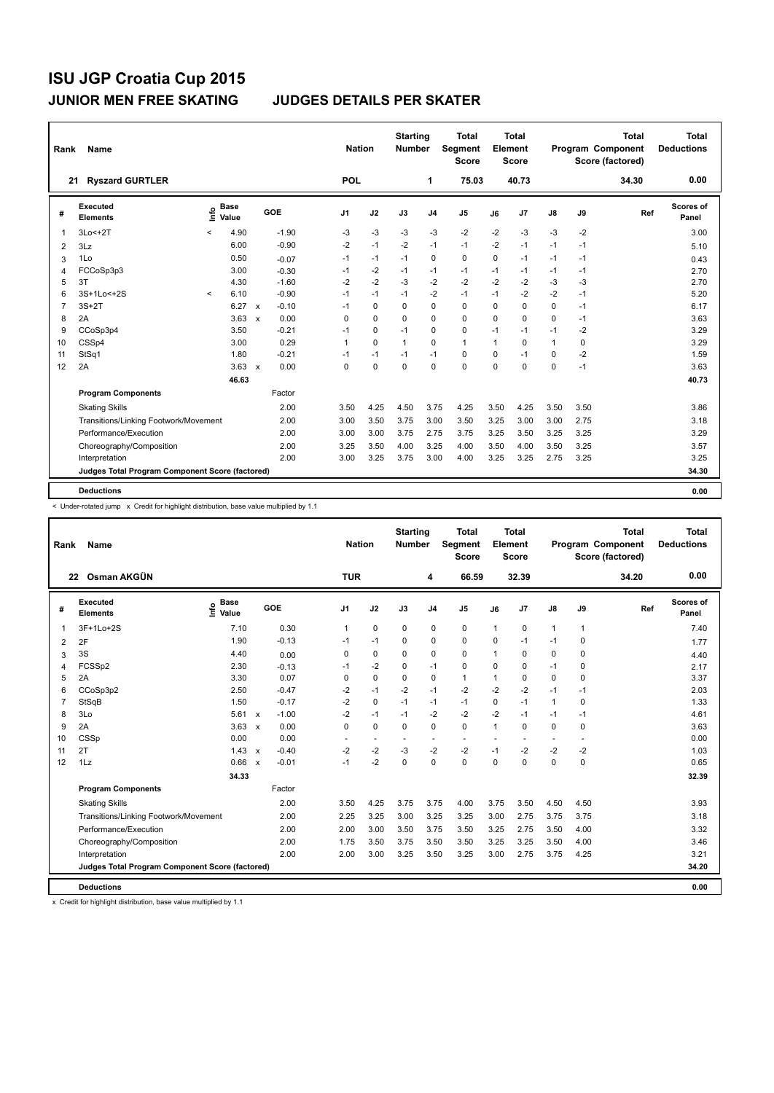| Rank                    | <b>Name</b>                                     |         |                      |                           |            | <b>Nation</b>  |             | <b>Starting</b><br><b>Number</b> |                | <b>Total</b><br>Segment<br>Score |          | Total<br>Element<br><b>Score</b> |               |      | <b>Total</b><br>Program Component<br>Score (factored) | Total<br><b>Deductions</b> |
|-------------------------|-------------------------------------------------|---------|----------------------|---------------------------|------------|----------------|-------------|----------------------------------|----------------|----------------------------------|----------|----------------------------------|---------------|------|-------------------------------------------------------|----------------------------|
|                         | <b>Ryszard GURTLER</b><br>21                    |         |                      |                           |            | <b>POL</b>     |             |                                  | $\mathbf{1}$   | 75.03                            |          | 40.73                            |               |      | 34.30                                                 | 0.00                       |
| #                       | Executed<br><b>Elements</b>                     | ١nfo    | <b>Base</b><br>Value |                           | <b>GOE</b> | J <sub>1</sub> | J2          | J3                               | J <sub>4</sub> | J <sub>5</sub>                   | J6       | J7                               | $\mathsf{J}8$ | J9   | Ref                                                   | Scores of<br>Panel         |
| $\mathbf{1}$            | $3Lo < +2T$                                     | $\prec$ | 4.90                 |                           | $-1.90$    | -3             | $-3$        | -3                               | -3             | $-2$                             | $-2$     | $-3$                             | $-3$          | $-2$ |                                                       | 3.00                       |
| $\overline{\mathbf{c}}$ | 3Lz                                             |         | 6.00                 |                           | $-0.90$    | $-2$           | $-1$        | $-2$                             | $-1$           | $-1$                             | $-2$     | $-1$                             | $-1$          | $-1$ |                                                       | 5.10                       |
| 3                       | 1Lo                                             |         | 0.50                 |                           | $-0.07$    | $-1$           | $-1$        | $-1$                             | $\mathbf 0$    | $\mathbf 0$                      | 0        | $-1$                             | $-1$          | $-1$ |                                                       | 0.43                       |
| 4                       | FCCoSp3p3                                       |         | 3.00                 |                           | $-0.30$    | $-1$           | $-2$        | $-1$                             | $-1$           | $-1$                             | $-1$     | $-1$                             | $-1$          | $-1$ |                                                       | 2.70                       |
| 5                       | 3T                                              |         | 4.30                 |                           | $-1.60$    | $-2$           | $-2$        | $-3$                             | $-2$           | $-2$                             | $-2$     | $-2$                             | $-3$          | $-3$ |                                                       | 2.70                       |
| 6                       | 3S+1Lo<+2S                                      | $\prec$ | 6.10                 |                           | $-0.90$    | $-1$           | $-1$        | $-1$                             | $-2$           | $-1$                             | $-1$     | $-2$                             | $-2$          | $-1$ |                                                       | 5.20                       |
| $\overline{7}$          | $3S+2T$                                         |         | 6.27                 | $\mathbf{x}$              | $-0.10$    | $-1$           | $\mathbf 0$ | $\Omega$                         | 0              | $\mathbf 0$                      | 0        | 0                                | 0             | $-1$ |                                                       | 6.17                       |
| 8                       | 2A                                              |         | 3.63                 | $\boldsymbol{\mathsf{x}}$ | 0.00       | $\Omega$       | $\Omega$    | $\Omega$                         | $\mathbf 0$    | $\Omega$                         | $\Omega$ | $\Omega$                         | 0             | $-1$ |                                                       | 3.63                       |
| 9                       | CCoSp3p4                                        |         | 3.50                 |                           | $-0.21$    | $-1$           | $\mathbf 0$ | $-1$                             | $\mathbf 0$    | $\mathbf 0$                      | $-1$     | $-1$                             | $-1$          | $-2$ |                                                       | 3.29                       |
| 10                      | CSSp4                                           |         | 3.00                 |                           | 0.29       | $\mathbf{1}$   | $\Omega$    | $\mathbf{1}$                     | $\Omega$       | $\mathbf{1}$                     | 1        | $\Omega$                         | $\mathbf{1}$  | 0    |                                                       | 3.29                       |
| 11                      | StSq1                                           |         | 1.80                 |                           | $-0.21$    | $-1$           | $-1$        | $-1$                             | $-1$           | 0                                | 0        | $-1$                             | 0             | $-2$ |                                                       | 1.59                       |
| 12                      | 2A                                              |         | 3.63                 | $\boldsymbol{\mathsf{x}}$ | 0.00       | $\Omega$       | $\mathbf 0$ | $\mathbf 0$                      | $\mathbf 0$    | $\Omega$                         | 0        | $\Omega$                         | 0             | $-1$ |                                                       | 3.63                       |
|                         |                                                 |         | 46.63                |                           |            |                |             |                                  |                |                                  |          |                                  |               |      |                                                       | 40.73                      |
|                         | <b>Program Components</b>                       |         |                      |                           | Factor     |                |             |                                  |                |                                  |          |                                  |               |      |                                                       |                            |
|                         | <b>Skating Skills</b>                           |         |                      |                           | 2.00       | 3.50           | 4.25        | 4.50                             | 3.75           | 4.25                             | 3.50     | 4.25                             | 3.50          | 3.50 |                                                       | 3.86                       |
|                         | Transitions/Linking Footwork/Movement           |         |                      |                           | 2.00       | 3.00           | 3.50        | 3.75                             | 3.00           | 3.50                             | 3.25     | 3.00                             | 3.00          | 2.75 |                                                       | 3.18                       |
|                         | Performance/Execution                           |         |                      |                           | 2.00       | 3.00           | 3.00        | 3.75                             | 2.75           | 3.75                             | 3.25     | 3.50                             | 3.25          | 3.25 |                                                       | 3.29                       |
|                         | Choreography/Composition                        |         |                      |                           | 2.00       | 3.25           | 3.50        | 4.00                             | 3.25           | 4.00                             | 3.50     | 4.00                             | 3.50          | 3.25 |                                                       | 3.57                       |
|                         | Interpretation                                  |         |                      |                           | 2.00       | 3.00           | 3.25        | 3.75                             | 3.00           | 4.00                             | 3.25     | 3.25                             | 2.75          | 3.25 |                                                       | 3.25                       |
|                         | Judges Total Program Component Score (factored) |         |                      |                           |            |                |             |                                  |                |                                  |          |                                  |               |      |                                                       | 34.30                      |
|                         |                                                 |         |                      |                           |            |                |             |                                  |                |                                  |          |                                  |               |      |                                                       |                            |
|                         | <b>Deductions</b>                               |         |                      |                           |            |                |             |                                  |                |                                  |          |                                  |               |      |                                                       | 0.00                       |

< Under-rotated jump x Credit for highlight distribution, base value multiplied by 1.1

| Rank           | Name                                            |                            |                           |         | <b>Nation</b> |                          | <b>Starting</b><br><b>Number</b> |                | <b>Total</b><br>Segment<br><b>Score</b> |              | <b>Total</b><br>Element<br><b>Score</b> |              |              | <b>Total</b><br>Program Component<br>Score (factored) | <b>Total</b><br><b>Deductions</b> |
|----------------|-------------------------------------------------|----------------------------|---------------------------|---------|---------------|--------------------------|----------------------------------|----------------|-----------------------------------------|--------------|-----------------------------------------|--------------|--------------|-------------------------------------------------------|-----------------------------------|
| 22             | Osman AKGÜN                                     |                            |                           |         | <b>TUR</b>    |                          |                                  | 4              | 66.59                                   |              | 32.39                                   |              |              | 34.20                                                 | 0.00                              |
| #              | Executed<br><b>Elements</b>                     | <b>Base</b><br>١m<br>Value |                           | GOE     | J1            | J2                       | J3                               | J <sub>4</sub> | J <sub>5</sub>                          | J6           | J7                                      | J8           | J9           | Ref                                                   | <b>Scores of</b><br>Panel         |
| 1              | 3F+1Lo+2S                                       | 7.10                       |                           | 0.30    | 1             | $\mathbf 0$              | $\mathbf 0$                      | $\pmb{0}$      | 0                                       | $\mathbf{1}$ | 0                                       | $\mathbf{1}$ | $\mathbf{1}$ |                                                       | 7.40                              |
| 2              | 2F                                              | 1.90                       |                           | $-0.13$ | $-1$          | $-1$                     | 0                                | 0              | $\mathbf 0$                             | 0            | $-1$                                    | $-1$         | 0            |                                                       | 1.77                              |
| 3              | 3S                                              | 4.40                       |                           | 0.00    | $\Omega$      | $\mathbf 0$              | $\Omega$                         | $\mathbf 0$    | $\mathbf 0$                             | 1            | 0                                       | 0            | 0            |                                                       | 4.40                              |
| 4              | FCSSp2                                          | 2.30                       |                           | $-0.13$ | $-1$          | $-2$                     | $\Omega$                         | $-1$           | $\mathbf 0$                             | $\Omega$     | 0                                       | $-1$         | 0            |                                                       | 2.17                              |
| 5              | 2A                                              | 3.30                       |                           | 0.07    | 0             | $\mathbf 0$              | $\Omega$                         | $\mathbf 0$    | $\mathbf{1}$                            | $\mathbf{1}$ | 0                                       | 0            | 0            |                                                       | 3.37                              |
| 6              | CCoSp3p2                                        | 2.50                       |                           | $-0.47$ | -2            | $-1$                     | $-2$                             | $-1$           | $-2$                                    | $-2$         | $-2$                                    | $-1$         | $-1$         |                                                       | 2.03                              |
| $\overline{7}$ | StSqB                                           | 1.50                       |                           | $-0.17$ | $-2$          | $\mathbf 0$              | $-1$                             | $-1$           | $-1$                                    | 0            | $-1$                                    | $\mathbf{1}$ | 0            |                                                       | 1.33                              |
| 8              | 3Lo                                             | 5.61                       | $\mathsf{x}$              | $-1.00$ | $-2$          | $-1$                     | $-1$                             | $-2$           | $-2$                                    | $-2$         | $-1$                                    | $-1$         | $-1$         |                                                       | 4.61                              |
| 9              | 2A                                              | 3.63                       | $\mathbf{x}$              | 0.00    | 0             | $\mathbf 0$              | $\Omega$                         | $\Omega$       | $\Omega$                                | $\mathbf{1}$ | $\Omega$                                | 0            | 0            |                                                       | 3.63                              |
| 10             | CSSp                                            | 0.00                       |                           | 0.00    |               | $\overline{\phantom{a}}$ |                                  | ٠              | $\overline{\phantom{a}}$                |              |                                         |              |              |                                                       | 0.00                              |
| 11             | 2T                                              | 1.43                       | $\mathsf{x}$              | $-0.40$ | $-2$          | $-2$                     | $-3$                             | $-2$           | $-2$                                    | $-1$         | $-2$                                    | $-2$         | $-2$         |                                                       | 1.03                              |
| 12             | 1Lz                                             | 0.66                       | $\boldsymbol{\mathsf{x}}$ | $-0.01$ | $-1$          | $-2$                     | $\Omega$                         | $\Omega$       | $\Omega$                                | $\Omega$     | 0                                       | $\Omega$     | 0            |                                                       | 0.65                              |
|                |                                                 | 34.33                      |                           |         |               |                          |                                  |                |                                         |              |                                         |              |              |                                                       | 32.39                             |
|                | <b>Program Components</b>                       |                            |                           | Factor  |               |                          |                                  |                |                                         |              |                                         |              |              |                                                       |                                   |
|                | <b>Skating Skills</b>                           |                            |                           | 2.00    | 3.50          | 4.25                     | 3.75                             | 3.75           | 4.00                                    | 3.75         | 3.50                                    | 4.50         | 4.50         |                                                       | 3.93                              |
|                | Transitions/Linking Footwork/Movement           |                            |                           | 2.00    | 2.25          | 3.25                     | 3.00                             | 3.25           | 3.25                                    | 3.00         | 2.75                                    | 3.75         | 3.75         |                                                       | 3.18                              |
|                | Performance/Execution                           |                            |                           | 2.00    | 2.00          | 3.00                     | 3.50                             | 3.75           | 3.50                                    | 3.25         | 2.75                                    | 3.50         | 4.00         |                                                       | 3.32                              |
|                | Choreography/Composition                        |                            |                           | 2.00    | 1.75          | 3.50                     | 3.75                             | 3.50           | 3.50                                    | 3.25         | 3.25                                    | 3.50         | 4.00         |                                                       | 3.46                              |
|                | Interpretation                                  |                            |                           | 2.00    | 2.00          | 3.00                     | 3.25                             | 3.50           | 3.25                                    | 3.00         | 2.75                                    | 3.75         | 4.25         |                                                       | 3.21                              |
|                | Judges Total Program Component Score (factored) |                            |                           |         |               |                          |                                  |                |                                         |              |                                         |              |              |                                                       | 34.20                             |
|                | <b>Deductions</b>                               |                            |                           |         |               |                          |                                  |                |                                         |              |                                         |              |              |                                                       | 0.00                              |

x Credit for highlight distribution, base value multiplied by 1.1